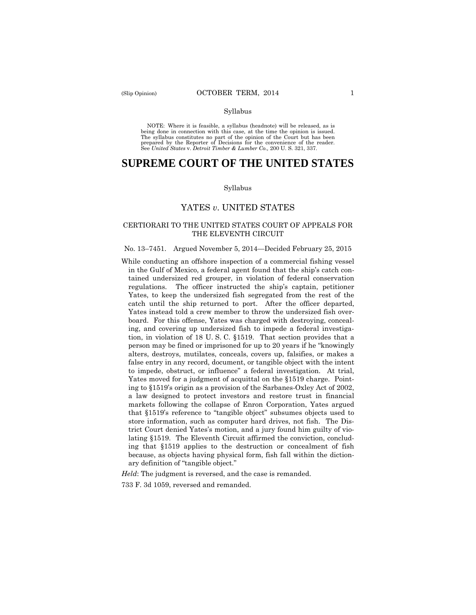#### Syllabus

 NOTE: Where it is feasible, a syllabus (headnote) will be released, as is being done in connection with this case, at the time the opinion is issued. The syllabus constitutes no part of the opinion of the Court but has been<br>prepared by the Reporter of Decisions for the convenience of the reader.<br>See United States v. Detroit Timber & Lumber Co., 200 U.S. 321, 337.

# **SUPREME COURT OF THE UNITED STATES**

#### Syllabus

### YATES *v*. UNITED STATES

### CERTIORARI TO THE UNITED STATES COURT OF APPEALS FOR THE ELEVENTH CIRCUIT

### No. 13–7451. Argued November 5, 2014—Decided February 25, 2015

 regulations. The officer instructed the ship's captain, petitioner While conducting an offshore inspection of a commercial fishing vessel in the Gulf of Mexico, a federal agent found that the ship's catch contained undersized red grouper, in violation of federal conservation Yates, to keep the undersized fish segregated from the rest of the catch until the ship returned to port. After the officer departed, Yates instead told a crew member to throw the undersized fish overboard. For this offense, Yates was charged with destroying, concealing, and covering up undersized fish to impede a federal investigation, in violation of 18 U. S. C. §1519. That section provides that a person may be fined or imprisoned for up to 20 years if he "knowingly alters, destroys, mutilates, conceals, covers up, falsifies, or makes a false entry in any record, document, or tangible object with the intent to impede, obstruct, or influence" a federal investigation. At trial, Yates moved for a judgment of acquittal on the §1519 charge. Pointing to §1519's origin as a provision of the Sarbanes-Oxley Act of 2002, a law designed to protect investors and restore trust in financial markets following the collapse of Enron Corporation, Yates argued that §1519's reference to "tangible object" subsumes objects used to store information, such as computer hard drives, not fish. The District Court denied Yates's motion, and a jury found him guilty of violating §1519. The Eleventh Circuit affirmed the conviction, concluding that §1519 applies to the destruction or concealment of fish because, as objects having physical form, fish fall within the dictionary definition of "tangible object."

*Held*: The judgment is reversed, and the case is remanded.

733 F. 3d 1059, reversed and remanded.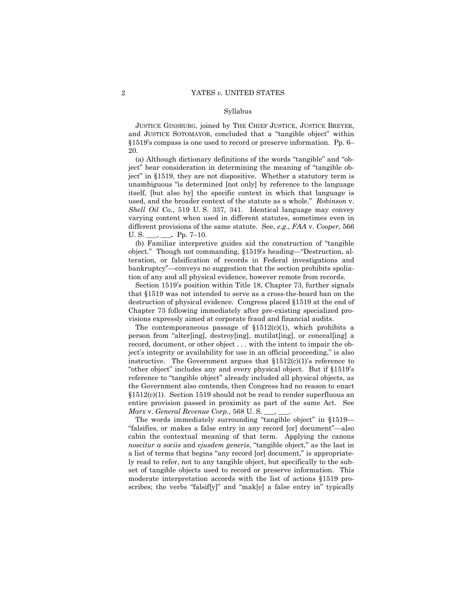#### Syllabus

 JUSTICE GINSBURG, joined by THE CHIEF JUSTICE, JUSTICE BREYER, and JUSTICE SOTOMAYOR, concluded that a "tangible object" within §1519's compass is one used to record or preserve information. Pp. 6– 20.

 U. S. \_\_\_, **\_\_\_.** Pp. 7–10. (a) Although dictionary definitions of the words "tangible" and "object" bear consideration in determining the meaning of "tangible object" in §1519, they are not dispositive. Whether a statutory term is unambiguous "is determined [not only] by reference to the language itself, [but also by] the specific context in which that language is used, and the broader context of the statute as a whole." *Robinson* v. *Shell Oil Co.*, 519 U. S. 337, 341. Identical language may convey varying content when used in different statutes, sometimes even in different provisions of the same statute. See, *e.g., FAA* v. *Cooper*, 566

(b) Familiar interpretive guides aid the construction of "tangible object." Though not commanding, §1519's heading—"Destruction, alteration, or falsification of records in Federal investigations and bankruptcy"—conveys no suggestion that the section prohibits spoliation of any and all physical evidence, however remote from records.

Section 1519's position within Title 18, Chapter 73, further signals that §1519 was not intended to serve as a cross-the-board ban on the destruction of physical evidence. Congress placed §1519 at the end of Chapter 73 following immediately after pre-existing specialized provisions expressly aimed at corporate fraud and financial audits.

The contemporaneous passage of  $$1512(c)(1)$ , which prohibits a person from "alter[ing], destroy[ing], mutilat[ing], or conceal[ing] a record, document, or other object . . . with the intent to impair the object's integrity or availability for use in an official proceeding," is also instructive. The Government argues that  $$1512(c)(1)$ 's reference to "other object" includes any and every physical object. But if §1519's reference to "tangible object" already included all physical objects, as the Government also contends, then Congress had no reason to enact  $§1512(c)(1)$ . Section 1519 should not be read to render superfluous an entire provision passed in proximity as part of the same Act. See *Marx* v. *General Revenue Corp.*, 568 U. S. \_\_\_, \_\_\_.

The words immediately surrounding "tangible object" in §1519— "falsifies, or makes a false entry in any record [or] document"—also cabin the contextual meaning of that term. Applying the canons *noscitur a sociis* and *ejusdem generis*, "tangible object," as the last in a list of terms that begins "any record [or] document," is appropriately read to refer, not to any tangible object, but specifically to the subset of tangible objects used to record or preserve information. This moderate interpretation accords with the list of actions §1519 proscribes; the verbs "falsif[y]" and "mak[e] a false entry in" typically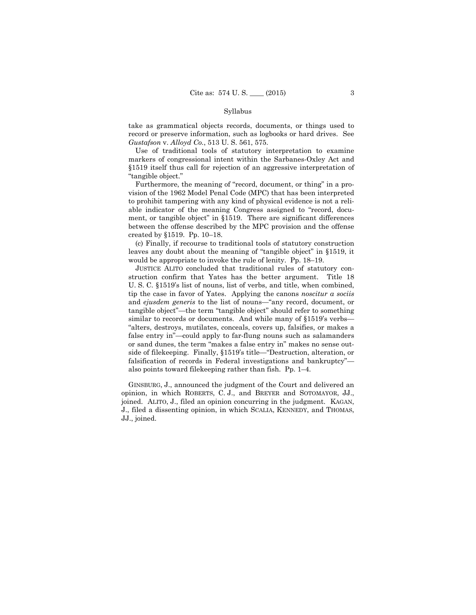#### Syllabus

Gustafson v. Alloyd Co., 513 U.S. 561, 575. take as grammatical objects records, documents, or things used to record or preserve information, such as logbooks or hard drives. See

Use of traditional tools of statutory interpretation to examine markers of congressional intent within the Sarbanes-Oxley Act and §1519 itself thus call for rejection of an aggressive interpretation of "tangible object."

Furthermore, the meaning of "record, document, or thing" in a provision of the 1962 Model Penal Code (MPC) that has been interpreted to prohibit tampering with any kind of physical evidence is not a reliable indicator of the meaning Congress assigned to "record, document, or tangible object" in §1519. There are significant differences between the offense described by the MPC provision and the offense created by §1519. Pp. 10–18.

(c) Finally, if recourse to traditional tools of statutory construction leaves any doubt about the meaning of "tangible object" in §1519, it would be appropriate to invoke the rule of lenity. Pp. 18–19.

JUSTICE ALITO concluded that traditional rules of statutory construction confirm that Yates has the better argument. Title 18 U. S. C. §1519's list of nouns, list of verbs, and title, when combined, tip the case in favor of Yates. Applying the canons *noscitur a sociis*  and *ejusdem generis* to the list of nouns—"any record, document, or tangible object"—the term "tangible object" should refer to something similar to records or documents. And while many of §1519's verbs— "alters, destroys, mutilates, conceals, covers up, falsifies, or makes a false entry in"—could apply to far-flung nouns such as salamanders or sand dunes, the term "makes a false entry in" makes no sense outside of filekeeping. Finally, §1519's title—"Destruction, alteration, or falsification of records in Federal investigations and bankruptcy" also points toward filekeeping rather than fish. Pp. 1–4.

GINSBURG, J., announced the judgment of the Court and delivered an opinion, in which ROBERTS, C. J., and BREYER and SOTOMAYOR, JJ., joined. ALITO, J., filed an opinion concurring in the judgment. KAGAN, J., filed a dissenting opinion, in which SCALIA, KENNEDY, and THOMAS, JJ., joined.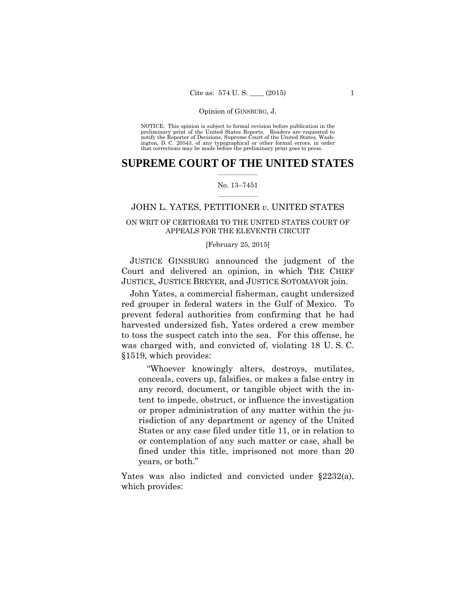preliminary print of the United States Reports. Readers are requested to notify the Reporter of Decisions, Supreme Court of the United States, Wash- ington, D. C. 20543, of any typographical or other formal errors, in order that corrections may be made before the preliminary print goes to press. NOTICE: This opinion is subject to formal revision before publication in the

### $\frac{1}{2}$  ,  $\frac{1}{2}$  ,  $\frac{1}{2}$  ,  $\frac{1}{2}$  ,  $\frac{1}{2}$  ,  $\frac{1}{2}$  ,  $\frac{1}{2}$ **SUPREME COURT OF THE UNITED STATES**

### $\frac{1}{2}$  ,  $\frac{1}{2}$  ,  $\frac{1}{2}$  ,  $\frac{1}{2}$  ,  $\frac{1}{2}$  ,  $\frac{1}{2}$ No. 13–7451

### JOHN L. YATES, PETITIONER *v.* UNITED STATES

### ON WRIT OF CERTIORARI TO THE UNITED STATES COURT OF APPEALS FOR THE ELEVENTH CIRCUIT

### [February 25, 2015]

 JUSTICE GINSBURG announced the judgment of the Court and delivered an opinion, in which THE CHIEF JUSTICE, JUSTICE BREYER, and JUSTICE SOTOMAYOR join.

John Yates, a commercial fisherman, caught undersized red grouper in federal waters in the Gulf of Mexico. To prevent federal authorities from confirming that he had harvested undersized fish, Yates ordered a crew member to toss the suspect catch into the sea. For this offense, he was charged with, and convicted of, violating 18 U. S. C. §1519, which provides:

"Whoever knowingly alters, destroys, mutilates, conceals, covers up, falsifies, or makes a false entry in any record, document, or tangible object with the intent to impede, obstruct, or influence the investigation or proper administration of any matter within the jurisdiction of any department or agency of the United States or any case filed under title 11, or in relation to or contemplation of any such matter or case, shall be fined under this title, imprisoned not more than 20 years, or both."

Yates was also indicted and convicted under §2232(a), which provides: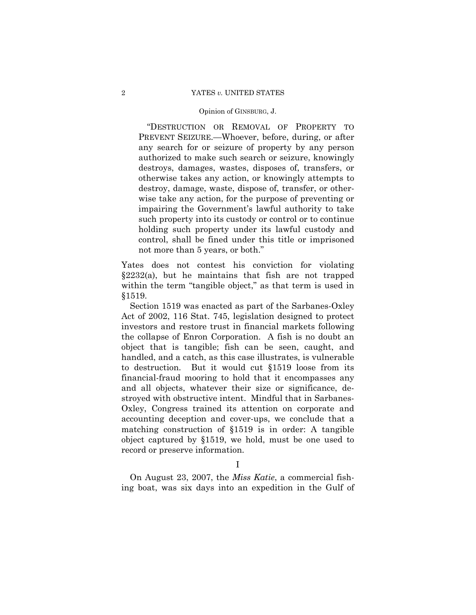### 2 YATES *v.* UNITED STATES

#### Opinion of GINSBURG, J.

 "DESTRUCTION OR REMOVAL OF PROPERTY TO PREVENT SEIZURE.—Whoever, before, during, or after any search for or seizure of property by any person authorized to make such search or seizure, knowingly destroys, damages, wastes, disposes of, transfers, or otherwise takes any action, or knowingly attempts to destroy, damage, waste, dispose of, transfer, or otherwise take any action, for the purpose of preventing or impairing the Government's lawful authority to take such property into its custody or control or to continue holding such property under its lawful custody and control, shall be fined under this title or imprisoned not more than 5 years, or both."

Yates does not contest his conviction for violating §2232(a), but he maintains that fish are not trapped within the term "tangible object," as that term is used in §1519.

Section 1519 was enacted as part of the Sarbanes-Oxley Act of 2002, 116 Stat. 745, legislation designed to protect investors and restore trust in financial markets following the collapse of Enron Corporation. A fish is no doubt an object that is tangible; fish can be seen, caught, and handled, and a catch, as this case illustrates, is vulnerable to destruction. But it would cut §1519 loose from its financial-fraud mooring to hold that it encompasses any and all objects, whatever their size or significance, destroyed with obstructive intent. Mindful that in Sarbanes-Oxley, Congress trained its attention on corporate and accounting deception and cover-ups, we conclude that a matching construction of §1519 is in order: A tangible object captured by §1519, we hold, must be one used to record or preserve information.

I

On August 23, 2007, the *Miss Katie*, a commercial fishing boat, was six days into an expedition in the Gulf of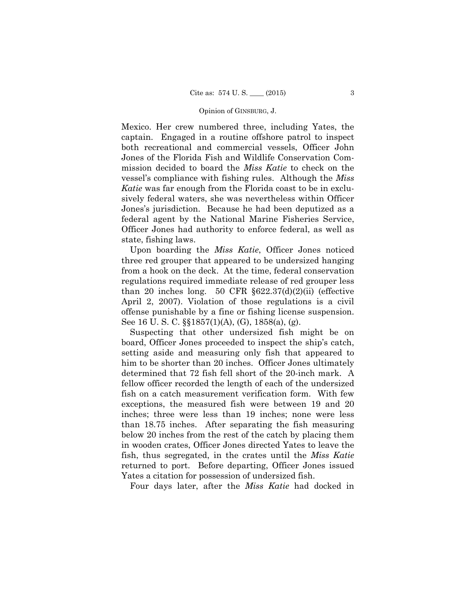Mexico. Her crew numbered three, including Yates, the captain. Engaged in a routine offshore patrol to inspect both recreational and commercial vessels, Officer John Jones of the Florida Fish and Wildlife Conservation Commission decided to board the *Miss Katie* to check on the vessel's compliance with fishing rules. Although the *Miss Katie* was far enough from the Florida coast to be in exclusively federal waters, she was nevertheless within Officer Jones's jurisdiction. Because he had been deputized as a federal agent by the National Marine Fisheries Service, Officer Jones had authority to enforce federal, as well as state, fishing laws.

Upon boarding the *Miss Katie*, Officer Jones noticed three red grouper that appeared to be undersized hanging from a hook on the deck. At the time, federal conservation regulations required immediate release of red grouper less than 20 inches long. 50 CFR  $\S 622.37(d)(2)(ii)$  (effective April 2, 2007). Violation of those regulations is a civil offense punishable by a fine or fishing license suspension. See 16 U. S. C. §§1857(1)(A), (G), 1858(a), (g).

Suspecting that other undersized fish might be on board, Officer Jones proceeded to inspect the ship's catch, setting aside and measuring only fish that appeared to him to be shorter than 20 inches. Officer Jones ultimately determined that 72 fish fell short of the 20-inch mark. A fellow officer recorded the length of each of the undersized fish on a catch measurement verification form. With few exceptions, the measured fish were between 19 and 20 inches; three were less than 19 inches; none were less than 18.75 inches. After separating the fish measuring below 20 inches from the rest of the catch by placing them in wooden crates, Officer Jones directed Yates to leave the fish, thus segregated, in the crates until the *Miss Katie*  returned to port. Before departing, Officer Jones issued Yates a citation for possession of undersized fish.

Four days later, after the *Miss Katie* had docked in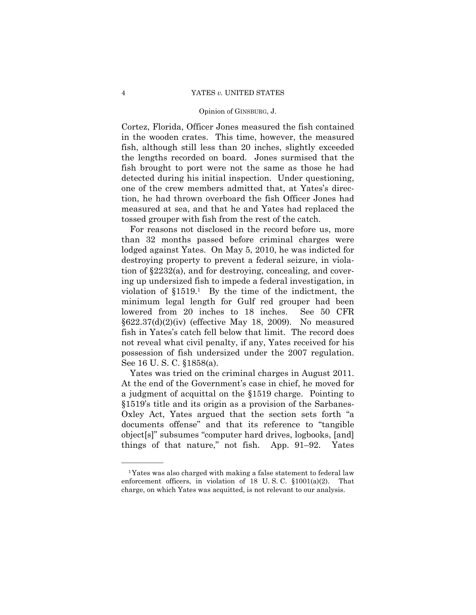### 4 YATES *v.* UNITED STATES

### Opinion of GINSBURG, J.

Cortez, Florida, Officer Jones measured the fish contained in the wooden crates. This time, however, the measured fish, although still less than 20 inches, slightly exceeded the lengths recorded on board. Jones surmised that the fish brought to port were not the same as those he had detected during his initial inspection. Under questioning, one of the crew members admitted that, at Yates's direction, he had thrown overboard the fish Officer Jones had measured at sea, and that he and Yates had replaced the tossed grouper with fish from the rest of the catch.

For reasons not disclosed in the record before us, more than 32 months passed before criminal charges were lodged against Yates. On May 5, 2010, he was indicted for destroying property to prevent a federal seizure, in violation of §2232(a), and for destroying, concealing, and covering up undersized fish to impede a federal investigation, in violation of  $$1519<sup>1</sup>$  By the time of the indictment, the minimum legal length for Gulf red grouper had been lowered from 20 inches to 18 inches. See 50 CFR §622.37(d)(2)(iv) (effective May 18, 2009). No measured fish in Yates's catch fell below that limit. The record does not reveal what civil penalty, if any, Yates received for his possession of fish undersized under the 2007 regulation. See 16 U. S. C. §1858(a).

Yates was tried on the criminal charges in August 2011. At the end of the Government's case in chief, he moved for a judgment of acquittal on the §1519 charge. Pointing to §1519's title and its origin as a provision of the Sarbanes-Oxley Act, Yates argued that the section sets forth "a documents offense" and that its reference to "tangible object[s]" subsumes "computer hard drives, logbooks, [and] things of that nature," not fish. App. 91–92. Yates

<sup>1</sup>Yates was also charged with making a false statement to federal law enforcement officers, in violation of 18 U. S. C. §1001(a)(2). That charge, on which Yates was acquitted, is not relevant to our analysis.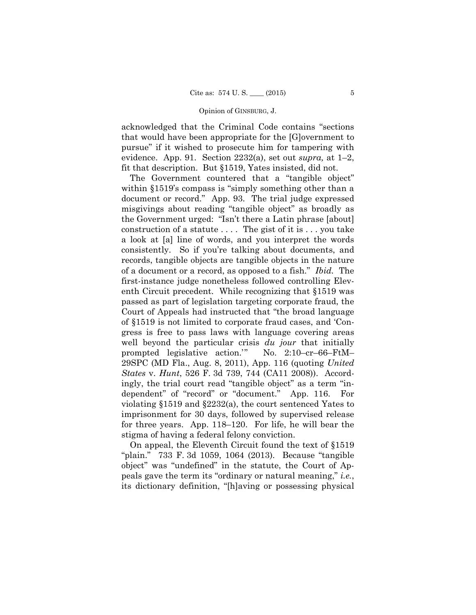fit that description. But §1519, Yates insisted, did not. acknowledged that the Criminal Code contains "sections that would have been appropriate for the [G]overnment to pursue" if it wished to prosecute him for tampering with evidence. App. 91. Section 2232(a), set out *supra,* at 1–2,

 document or record." App. 93. The trial judge expressed The Government countered that a "tangible object" within §1519's compass is "simply something other than a misgivings about reading "tangible object" as broadly as the Government urged: "Isn't there a Latin phrase [about] construction of a statute . . . . The gist of it is . . . you take a look at [a] line of words, and you interpret the words consistently. So if you're talking about documents, and records, tangible objects are tangible objects in the nature of a document or a record, as opposed to a fish." *Ibid.* The first-instance judge nonetheless followed controlling Eleventh Circuit precedent. While recognizing that §1519 was passed as part of legislation targeting corporate fraud, the Court of Appeals had instructed that "the broad language of §1519 is not limited to corporate fraud cases, and 'Congress is free to pass laws with language covering areas well beyond the particular crisis *du jour* that initially prompted legislative action.'" No. 2:10–cr–66–FtM– 29SPC (MD Fla., Aug. 8, 2011), App. 116 (quoting *United States* v. *Hunt*, 526 F. 3d 739, 744 (CA11 2008)). Accordingly, the trial court read "tangible object" as a term "independent" of "record" or "document." App. 116. For violating §1519 and §2232(a), the court sentenced Yates to imprisonment for 30 days, followed by supervised release for three years. App. 118–120. For life, he will bear the stigma of having a federal felony conviction.

On appeal, the Eleventh Circuit found the text of §1519 "plain." 733 F. 3d 1059, 1064 (2013). Because "tangible object" was "undefined" in the statute, the Court of Appeals gave the term its "ordinary or natural meaning," *i.e.*, its dictionary definition, "[h]aving or possessing physical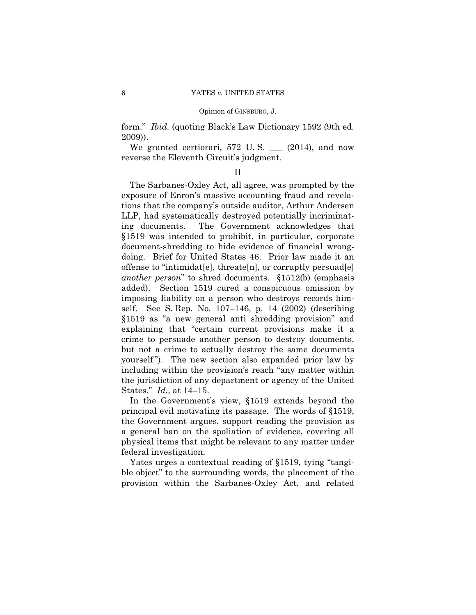form." *Ibid.* (quoting Black's Law Dictionary 1592 (9th ed. 2009)).

We granted certiorari,  $572$  U.S.  $\_\_$  (2014), and now reverse the Eleventh Circuit's judgment.

### II

The Sarbanes-Oxley Act, all agree, was prompted by the exposure of Enron's massive accounting fraud and revelations that the company's outside auditor, Arthur Andersen LLP, had systematically destroyed potentially incriminating documents. The Government acknowledges that §1519 was intended to prohibit, in particular, corporate document-shredding to hide evidence of financial wrongdoing. Brief for United States 46. Prior law made it an offense to "intimidat[e], threate[n], or corruptly persuad[e] *another person*" to shred documents. §1512(b) (emphasis added). Section 1519 cured a conspicuous omission by imposing liability on a person who destroys records himself. See S. Rep. No. 107–146, p. 14 (2002) (describing §1519 as "a new general anti shredding provision" and explaining that "certain current provisions make it a crime to persuade another person to destroy documents, but not a crime to actually destroy the same documents yourself"). The new section also expanded prior law by including within the provision's reach "any matter within the jurisdiction of any department or agency of the United States." *Id.*, at 14–15.

In the Government's view, §1519 extends beyond the principal evil motivating its passage. The words of §1519, the Government argues, support reading the provision as a general ban on the spoliation of evidence, covering all physical items that might be relevant to any matter under federal investigation.

Yates urges a contextual reading of §1519, tying "tangible object" to the surrounding words, the placement of the provision within the Sarbanes-Oxley Act, and related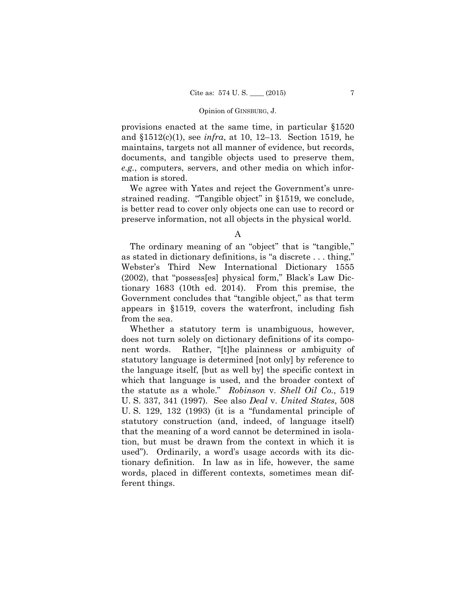provisions enacted at the same time, in particular §1520 and §1512(c)(1), see *infra*, at 10, 12–13. Section 1519, he maintains, targets not all manner of evidence, but records, documents, and tangible objects used to preserve them, *e.g.*, computers, servers, and other media on which information is stored.

We agree with Yates and reject the Government's unrestrained reading. "Tangible object" in §1519, we conclude, is better read to cover only objects one can use to record or preserve information, not all objects in the physical world.

The ordinary meaning of an "object" that is "tangible," as stated in dictionary definitions, is "a discrete . . . thing," Webster's Third New International Dictionary 1555 (2002), that "possess[es] physical form," Black's Law Dictionary 1683 (10th ed. 2014). From this premise, the Government concludes that "tangible object," as that term appears in §1519, covers the waterfront, including fish from the sea.

Whether a statutory term is unambiguous, however, does not turn solely on dictionary definitions of its component words. Rather, "[t]he plainness or ambiguity of statutory language is determined [not only] by reference to the language itself, [but as well by] the specific context in which that language is used, and the broader context of the statute as a whole." *Robinson* v. *Shell Oil Co.*, 519 U. S. 337, 341 (1997). See also *Deal* v. *United States*, 508 U. S. 129, 132 (1993) (it is a "fundamental principle of statutory construction (and, indeed, of language itself) that the meaning of a word cannot be determined in isolation, but must be drawn from the context in which it is used"). Ordinarily, a word's usage accords with its dictionary definition. In law as in life, however, the same words, placed in different contexts, sometimes mean different things.

A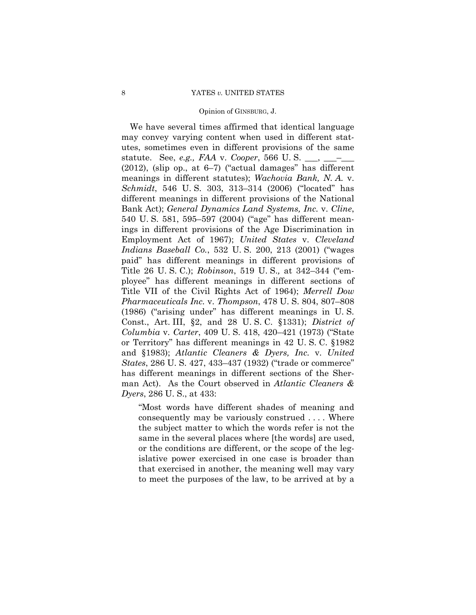We have several times affirmed that identical language may convey varying content when used in different statutes, sometimes even in different provisions of the same statute. See, *e.g., FAA* v. *Cooper*, 566 U.S. \_\_,  $(2012)$ , (slip op., at  $6-7$ ) ("actual damages" has different meanings in different statutes); *Wachovia Bank, N. A.* v. *Schmidt*, 546 U. S. 303, 313–314 (2006) ("located" has different meanings in different provisions of the National Bank Act); *General Dynamics Land Systems, Inc.* v. *Cline*, 540 U. S. 581, 595–597 (2004) ("age" has different meanings in different provisions of the Age Discrimination in Employment Act of 1967); *United States* v. *Cleveland Indians Baseball Co.*, 532 U. S. 200, 213 (2001) ("wages paid" has different meanings in different provisions of Title 26 U. S. C.); *Robinson*, 519 U. S.*,* at 342–344 ("employee" has different meanings in different sections of Title VII of the Civil Rights Act of 1964); *Merrell Dow Pharmaceuticals Inc.* v. *Thompson*, 478 U. S. 804, 807–808 (1986) ("arising under" has different meanings in U. S. Const., Art. III, §2, and 28 U. S. C. §1331); *District of Columbia* v. *Carter*, 409 U. S. 418, 420–421 (1973) ("State or Territory" has different meanings in 42 U. S. C. §1982 and §1983); *Atlantic Cleaners & Dyers, Inc.* v. *United States*, 286 U. S. 427, 433–437 (1932) ("trade or commerce" has different meanings in different sections of the Sherman Act). As the Court observed in *Atlantic Cleaners & Dyers*, 286 U. S., at 433:

"Most words have different shades of meaning and consequently may be variously construed . . . . Where the subject matter to which the words refer is not the same in the several places where [the words] are used, or the conditions are different, or the scope of the legislative power exercised in one case is broader than that exercised in another, the meaning well may vary to meet the purposes of the law, to be arrived at by a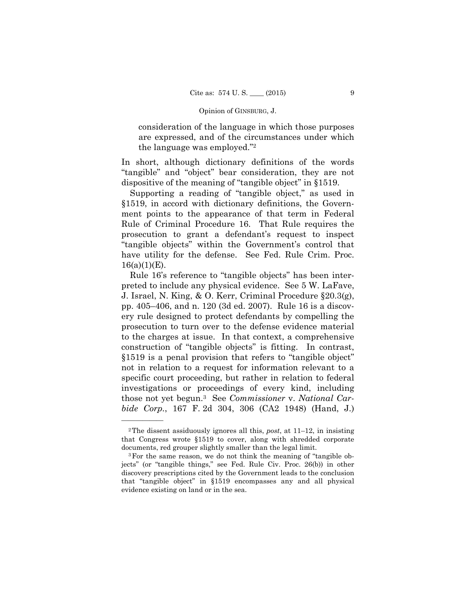consideration of the language in which those purposes are expressed, and of the circumstances under which the language was employed."2

In short, although dictionary definitions of the words "tangible" and "object" bear consideration, they are not dispositive of the meaning of "tangible object" in §1519.

Supporting a reading of "tangible object," as used in §1519, in accord with dictionary definitions, the Government points to the appearance of that term in Federal Rule of Criminal Procedure 16. That Rule requires the prosecution to grant a defendant's request to inspect "tangible objects" within the Government's control that have utility for the defense. See Fed. Rule Crim. Proc.  $16(a)(1)(E)$ .

 those not yet begun.3 See *Commissioner* v. *National Car-*Rule 16's reference to "tangible objects" has been interpreted to include any physical evidence. See 5 W. LaFave, J. Israel, N. King, & O. Kerr, Criminal Procedure §20.3(g), pp. 405–406, and n. 120 (3d ed. 2007). Rule 16 is a discovery rule designed to protect defendants by compelling the prosecution to turn over to the defense evidence material to the charges at issue. In that context, a comprehensive construction of "tangible objects" is fitting. In contrast, §1519 is a penal provision that refers to "tangible object" not in relation to a request for information relevant to a specific court proceeding, but rather in relation to federal investigations or proceedings of every kind, including *bide Corp.*, 167 F. 2d 304, 306 (CA2 1948) (Hand, J.)

<sup>2</sup>The dissent assiduously ignores all this, *post*, at 11–12, in insisting that Congress wrote §1519 to cover, along with shredded corporate documents, red grouper slightly smaller than the legal limit.<br><sup>3</sup>For the same reason, we do not think the meaning of "tangible ob-

jects" (or "tangible things," see Fed. Rule Civ. Proc. 26(b)) in other discovery prescriptions cited by the Government leads to the conclusion that "tangible object" in §1519 encompasses any and all physical evidence existing on land or in the sea.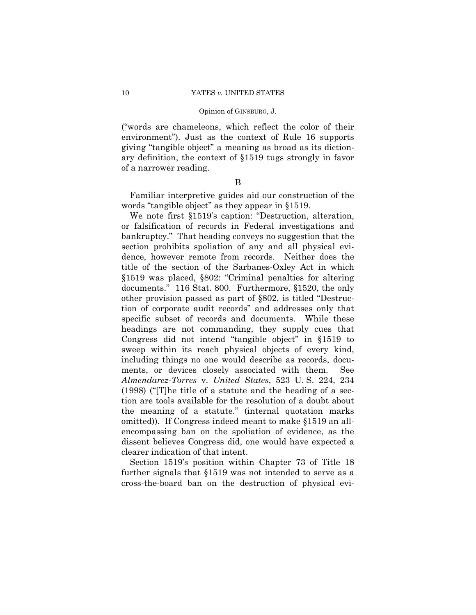("words are chameleons, which reflect the color of their environment"). Just as the context of Rule 16 supports giving "tangible object" a meaning as broad as its dictionary definition, the context of §1519 tugs strongly in favor of a narrower reading.

### B

Familiar interpretive guides aid our construction of the words "tangible object" as they appear in §1519.

We note first §1519's caption: "Destruction, alteration, or falsification of records in Federal investigations and bankruptcy." That heading conveys no suggestion that the section prohibits spoliation of any and all physical evidence, however remote from records. Neither does the title of the section of the Sarbanes-Oxley Act in which §1519 was placed, §802: "Criminal penalties for altering documents." 116 Stat. 800. Furthermore, §1520, the only other provision passed as part of §802, is titled "Destruction of corporate audit records" and addresses only that specific subset of records and documents. While these headings are not commanding, they supply cues that Congress did not intend "tangible object" in §1519 to sweep within its reach physical objects of every kind, including things no one would describe as records, documents, or devices closely associated with them. See *Almendarez-Torres* v. *United States*, 523 U. S. 224, 234 (1998) ("[T]he title of a statute and the heading of a section are tools available for the resolution of a doubt about the meaning of a statute." (internal quotation marks omitted)). If Congress indeed meant to make §1519 an allencompassing ban on the spoliation of evidence, as the dissent believes Congress did, one would have expected a clearer indication of that intent.

Section 1519's position within Chapter 73 of Title 18 further signals that §1519 was not intended to serve as a cross-the-board ban on the destruction of physical evi-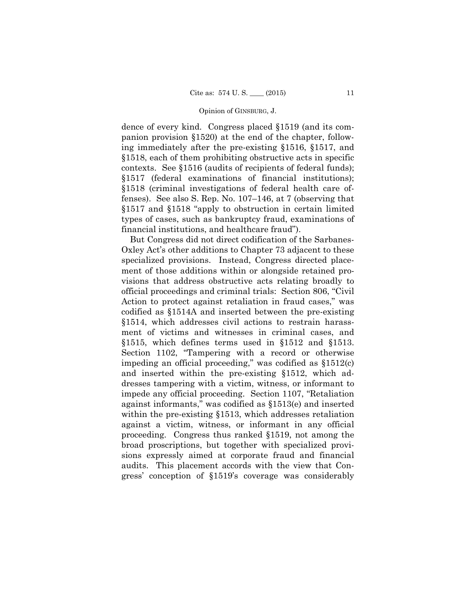dence of every kind. Congress placed §1519 (and its companion provision §1520) at the end of the chapter, following immediately after the pre-existing §1516, §1517, and §1518, each of them prohibiting obstructive acts in specific contexts. See §1516 (audits of recipients of federal funds); §1517 (federal examinations of financial institutions); §1518 (criminal investigations of federal health care offenses). See also S. Rep. No. 107–146, at 7 (observing that §1517 and §1518 "apply to obstruction in certain limited types of cases, such as bankruptcy fraud, examinations of financial institutions, and healthcare fraud").

But Congress did not direct codification of the Sarbanes-Oxley Act's other additions to Chapter 73 adjacent to these specialized provisions. Instead, Congress directed placement of those additions within or alongside retained provisions that address obstructive acts relating broadly to official proceedings and criminal trials: Section 806, "Civil Action to protect against retaliation in fraud cases," was codified as §1514A and inserted between the pre-existing §1514, which addresses civil actions to restrain harassment of victims and witnesses in criminal cases, and §1515, which defines terms used in §1512 and §1513. Section 1102, "Tampering with a record or otherwise impeding an official proceeding," was codified as §1512(c) and inserted within the pre-existing §1512, which addresses tampering with a victim, witness, or informant to impede any official proceeding. Section 1107, "Retaliation against informants," was codified as §1513(e) and inserted within the pre-existing §1513, which addresses retaliation against a victim, witness, or informant in any official proceeding. Congress thus ranked §1519, not among the broad proscriptions, but together with specialized provisions expressly aimed at corporate fraud and financial audits. This placement accords with the view that Congress' conception of §1519's coverage was considerably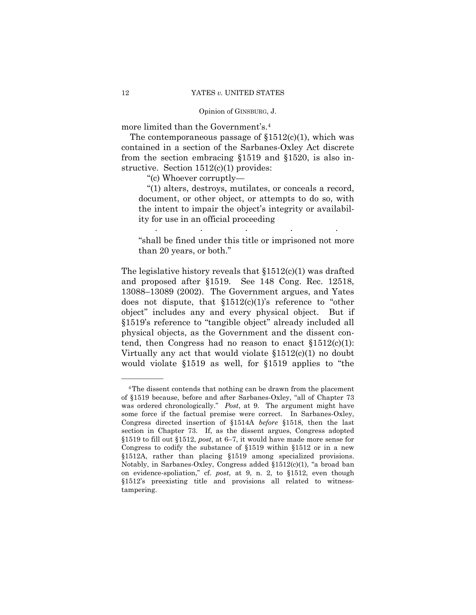more limited than the Government's.4

The contemporaneous passage of  $$1512(c)(1)$ , which was contained in a section of the Sarbanes-Oxley Act discrete from the section embracing §1519 and §1520, is also instructive. Section 1512(c)(1) provides:

"(c) Whoever corruptly—

"(1) alters, destroys, mutilates, or conceals a record, document, or other object, or attempts to do so, with the intent to impair the object's integrity or availability for use in an official proceeding . . . . .

"shall be fined under this title or imprisoned not more than 20 years, or both."

The legislative history reveals that  $$1512(c)(1)$  was drafted and proposed after §1519. See 148 Cong. Rec. 12518, 13088–13089 (2002). The Government argues, and Yates does not dispute, that  $$1512(c)(1)$ 's reference to "other object" includes any and every physical object. But if §1519's reference to "tangible object" already included all physical objects, as the Government and the dissent contend, then Congress had no reason to enact  $$1512(c)(1)$ : Virtually any act that would violate §1512(c)(1) no doubt would violate §1519 as well, for §1519 applies to "the

 was ordered chronologically." *Post*, at 9. The argument might have tampering. 4The dissent contends that nothing can be drawn from the placement of §1519 because, before and after Sarbanes-Oxley, "all of Chapter 73 some force if the factual premise were correct. In Sarbanes-Oxley, Congress directed insertion of §1514A *before* §1518, then the last section in Chapter 73. If, as the dissent argues, Congress adopted §1519 to fill out §1512, *post*, at 6–7, it would have made more sense for Congress to codify the substance of §1519 within §1512 or in a new §1512A, rather than placing §1519 among specialized provisions. Notably, in Sarbanes-Oxley, Congress added §1512(c)(1), "a broad ban on evidence-spoliation," cf. *post*, at 9, n. 2, to §1512, even though §1512's preexisting title and provisions all related to witness-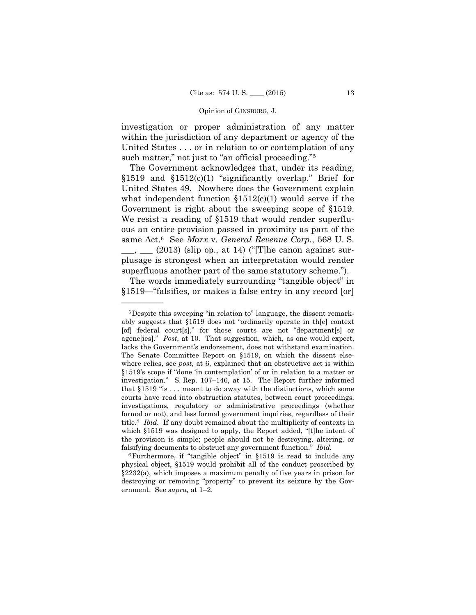investigation or proper administration of any matter within the jurisdiction of any department or agency of the United States . . . or in relation to or contemplation of any such matter," not just to "an official proceeding."<sup>5</sup>

The Government acknowledges that, under its reading, §1519 and §1512(c)(1) "significantly overlap." Brief for United States 49. Nowhere does the Government explain what independent function  $$1512(c)(1)$  would serve if the Government is right about the sweeping scope of §1519. We resist a reading of §1519 that would render superfluous an entire provision passed in proximity as part of the same Act.6 See *Marx* v. *General Revenue Corp.*, 568 U. S.  $\frac{1}{\sqrt{2}}$  (2013) (slip op., at 14) ("[T]he canon against surplusage is strongest when an interpretation would render superfluous another part of the same statutory scheme.").

The words immediately surrounding "tangible object" in §1519—"falsifies, or makes a false entry in any record [or]

 lacks the Government's endorsement, does not withstand examination. The Senate Committee Report on §1519, on which the dissent else- §1519's scope if "done 'in contemplation' of or in relation to a matter or title." *Ibid.* If any doubt remained about the multiplicity of contexts in falsifying documents to obstruct any government function." *Ibid.* 5Despite this sweeping "in relation to" language, the dissent remarkably suggests that §1519 does not "ordinarily operate in th[e] context [of] federal court[s]," for those courts are not "department[s] or agenc[ies]." *Post*, at 10. That suggestion, which, as one would expect, where relies, see *post*, at 6, explained that an obstructive act is within investigation." S. Rep. 107–146, at 15. The Report further informed that §1519 "is . . . meant to do away with the distinctions, which some courts have read into obstruction statutes, between court proceedings, investigations, regulatory or administrative proceedings (whether formal or not), and less formal government inquiries, regardless of their which §1519 was designed to apply, the Report added, "[t]he intent of the provision is simple; people should not be destroying, altering, or

<sup>6</sup>Furthermore, if "tangible object" in §1519 is read to include any physical object, §1519 would prohibit all of the conduct proscribed by §2232(a), which imposes a maximum penalty of five years in prison for destroying or removing "property" to prevent its seizure by the Government. See *supra,* at 1–2.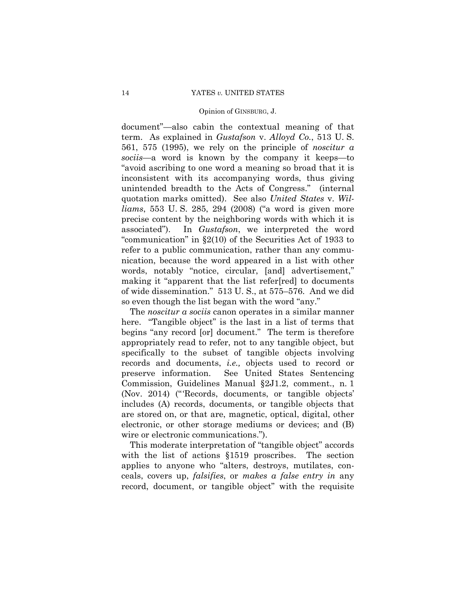document"—also cabin the contextual meaning of that term. As explained in *Gustafson* v. *Alloyd Co.*, 513 U. S. 561, 575 (1995), we rely on the principle of *noscitur a sociis—*a word is known by the company it keeps—to "avoid ascribing to one word a meaning so broad that it is inconsistent with its accompanying words, thus giving unintended breadth to the Acts of Congress." (internal quotation marks omitted). See also *United States* v. *Williams*, 553 U. S. 285, 294 (2008) ("a word is given more precise content by the neighboring words with which it is associated"). In *Gustafson*, we interpreted the word "communication" in §2(10) of the Securities Act of 1933 to refer to a public communication, rather than any communication, because the word appeared in a list with other words, notably "notice, circular, [and] advertisement," making it "apparent that the list refer[red] to documents of wide dissemination." 513 U. S., at 575–576. And we did so even though the list began with the word "any."

The *noscitur a sociis* canon operates in a similar manner here. "Tangible object" is the last in a list of terms that begins "any record [or] document." The term is therefore appropriately read to refer, not to any tangible object, but specifically to the subset of tangible objects involving records and documents, *i.e.,* objects used to record or preserve information. See United States Sentencing Commission, Guidelines Manual §2J1.2, comment., n. 1 (Nov. 2014) ("'Records, documents, or tangible objects' includes (A) records, documents, or tangible objects that are stored on, or that are, magnetic, optical, digital, other electronic, or other storage mediums or devices; and (B) wire or electronic communications.").

This moderate interpretation of "tangible object" accords with the list of actions §1519 proscribes. The section applies to anyone who "alters, destroys, mutilates, conceals, covers up, *falsifies*, or *makes a false entry in* any record, document, or tangible object" with the requisite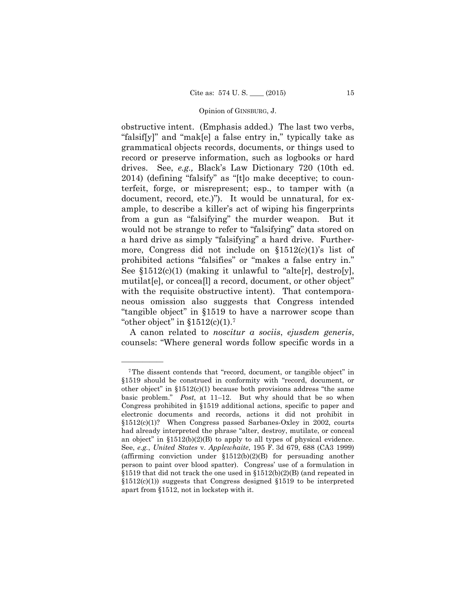obstructive intent. (Emphasis added.) The last two verbs, "falsif[y]" and "mak[e] a false entry in," typically take as grammatical objects records, documents, or things used to record or preserve information, such as logbooks or hard drives. See, *e.g.,* Black's Law Dictionary 720 (10th ed. 2014) (defining "falsify" as "[t]o make deceptive; to counterfeit, forge, or misrepresent; esp., to tamper with (a document, record, etc.)"). It would be unnatural, for example, to describe a killer's act of wiping his fingerprints from a gun as "falsifying" the murder weapon. But it would not be strange to refer to "falsifying" data stored on a hard drive as simply "falsifying" a hard drive. Furthermore, Congress did not include on  $$1512(c)(1)$ 's list of prohibited actions "falsifies" or "makes a false entry in." See  $$1512(c)(1)$  (making it unlawful to "alte[r], destro[y], mutilat[e], or concea[l] a record, document, or other object" with the requisite obstructive intent). That contemporaneous omission also suggests that Congress intended "tangible object" in §1519 to have a narrower scope than "other object" in  $$1512(c)(1).7$ 

A canon related to *noscitur a sociis*, *ejusdem generis*, counsels: "Where general words follow specific words in a

<sup>7</sup>The dissent contends that "record, document, or tangible object" in §1519 should be construed in conformity with "record, document, or other object" in  $$1512(c)(1)$  because both provisions address "the same basic problem." *Post*, at 11–12. But why should that be so when Congress prohibited in §1519 additional actions, specific to paper and electronic documents and records, actions it did not prohibit in §1512(c)(1)? When Congress passed Sarbanes-Oxley in 2002, courts had already interpreted the phrase "alter, destroy, mutilate, or conceal an object" in  $$1512(b)(2)(B)$  to apply to all types of physical evidence. See, *e.g.*, *United States* v. *Applewhaite*, 195 F. 3d 679, 688 (CA3 1999) (affirming conviction under §1512(b)(2)(B) for persuading another person to paint over blood spatter). Congress' use of a formulation in §1519 that did not track the one used in §1512(b)(2)(B) (and repeated in  $$1512(c)(1)$  suggests that Congress designed  $$1519$  to be interpreted apart from §1512, not in lockstep with it.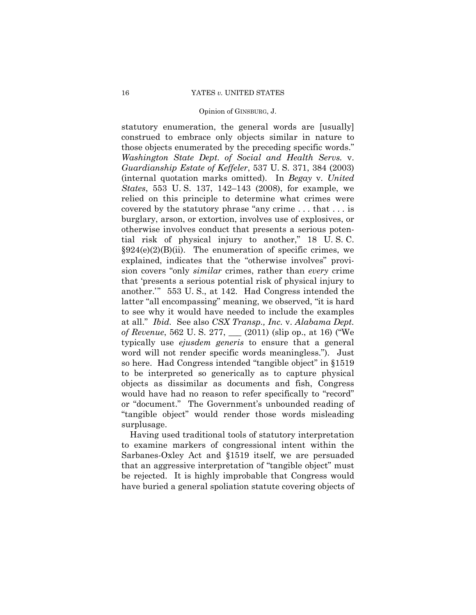statutory enumeration, the general words are [usually] construed to embrace only objects similar in nature to those objects enumerated by the preceding specific words." *Washington State Dept. of Social and Health Servs.* v. *Guardianship Estate of Keffeler*, 537 U. S. 371, 384 (2003) (internal quotation marks omitted). In *Begay* v. *United States*, 553 U. S. 137, 142–143 (2008), for example, we relied on this principle to determine what crimes were covered by the statutory phrase "any crime . . . that . . . is burglary, arson, or extortion, involves use of explosives, or otherwise involves conduct that presents a serious potential risk of physical injury to another," 18 U. S. C.  $\S 924(e)(2)(B)(ii)$ . The enumeration of specific crimes, we explained, indicates that the "otherwise involves" provision covers "only *similar* crimes, rather than *every* crime that 'presents a serious potential risk of physical injury to another.'" 553 U. S., at 142. Had Congress intended the latter "all encompassing" meaning, we observed, "it is hard to see why it would have needed to include the examples at all." *Ibid.* See also *CSX Transp., Inc.* v. *Alabama Dept. of Revenue*, 562 U. S. 277, \_\_\_ (2011) (slip op., at 16) ("We typically use *ejusdem generis* to ensure that a general word will not render specific words meaningless."). Just so here. Had Congress intended "tangible object" in §1519 to be interpreted so generically as to capture physical objects as dissimilar as documents and fish, Congress would have had no reason to refer specifically to "record" or "document." The Government's unbounded reading of "tangible object" would render those words misleading surplusage.

Having used traditional tools of statutory interpretation to examine markers of congressional intent within the Sarbanes-Oxley Act and §1519 itself, we are persuaded that an aggressive interpretation of "tangible object" must be rejected. It is highly improbable that Congress would have buried a general spoliation statute covering objects of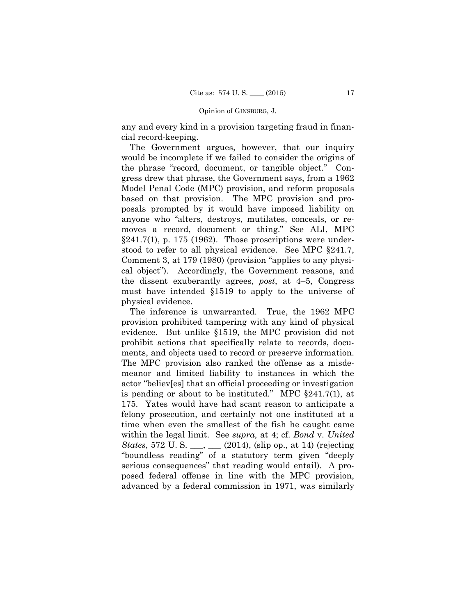any and every kind in a provision targeting fraud in financial record-keeping.

The Government argues, however, that our inquiry would be incomplete if we failed to consider the origins of the phrase "record, document, or tangible object." Congress drew that phrase, the Government says, from a 1962 Model Penal Code (MPC) provision, and reform proposals based on that provision. The MPC provision and proposals prompted by it would have imposed liability on anyone who "alters, destroys, mutilates, conceals, or removes a record, document or thing." See ALI, MPC  $\S 241.7(1)$ , p. 175 (1962). Those proscriptions were understood to refer to all physical evidence. See MPC §241.7, Comment 3, at 179 (1980) (provision "applies to any physical object"). Accordingly, the Government reasons, and the dissent exuberantly agrees, *post*, at 4–5, Congress must have intended §1519 to apply to the universe of physical evidence.

The inference is unwarranted. True, the 1962 MPC provision prohibited tampering with any kind of physical evidence. But unlike §1519, the MPC provision did not prohibit actions that specifically relate to records, documents, and objects used to record or preserve information. The MPC provision also ranked the offense as a misdemeanor and limited liability to instances in which the actor "believ[es] that an official proceeding or investigation is pending or about to be instituted." MPC §241.7(1), at 175. Yates would have had scant reason to anticipate a felony prosecution, and certainly not one instituted at a time when even the smallest of the fish he caught came within the legal limit. See *supra,* at 4; cf. *Bond* v. *United States*, 572 U. S. \_\_\_, \_\_\_ (2014), (slip op., at 14) (rejecting "boundless reading" of a statutory term given "deeply serious consequences" that reading would entail). A proposed federal offense in line with the MPC provision, advanced by a federal commission in 1971, was similarly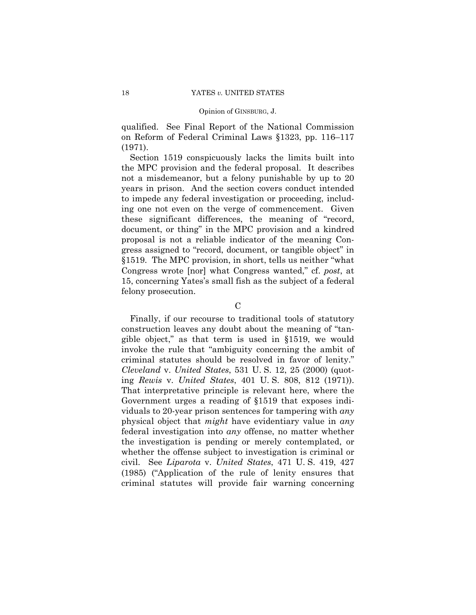qualified. See Final Report of the National Commission on Reform of Federal Criminal Laws §1323, pp. 116–117 (1971).

Section 1519 conspicuously lacks the limits built into the MPC provision and the federal proposal. It describes not a misdemeanor, but a felony punishable by up to 20 years in prison. And the section covers conduct intended to impede any federal investigation or proceeding, including one not even on the verge of commencement. Given these significant differences, the meaning of "record, document, or thing" in the MPC provision and a kindred proposal is not a reliable indicator of the meaning Congress assigned to "record, document, or tangible object" in §1519. The MPC provision, in short, tells us neither "what Congress wrote [nor] what Congress wanted," cf. *post*, at 15, concerning Yates's small fish as the subject of a federal felony prosecution.

 $\mathcal{C}$ 

 ing *Rewis* v. *United States*, 401 U. S. 808, 812 (1971)). Finally, if our recourse to traditional tools of statutory construction leaves any doubt about the meaning of "tangible object," as that term is used in §1519, we would invoke the rule that "ambiguity concerning the ambit of criminal statutes should be resolved in favor of lenity." *Cleveland* v. *United States*, 531 U. S. 12, 25 (2000) (quot-That interpretative principle is relevant here, where the Government urges a reading of §1519 that exposes individuals to 20-year prison sentences for tampering with *any* physical object that *might* have evidentiary value in *any* federal investigation into *any* offense, no matter whether the investigation is pending or merely contemplated, or whether the offense subject to investigation is criminal or civil. See *Liparota* v. *United States*, 471 U. S. 419, 427 (1985) ("Application of the rule of lenity ensures that criminal statutes will provide fair warning concerning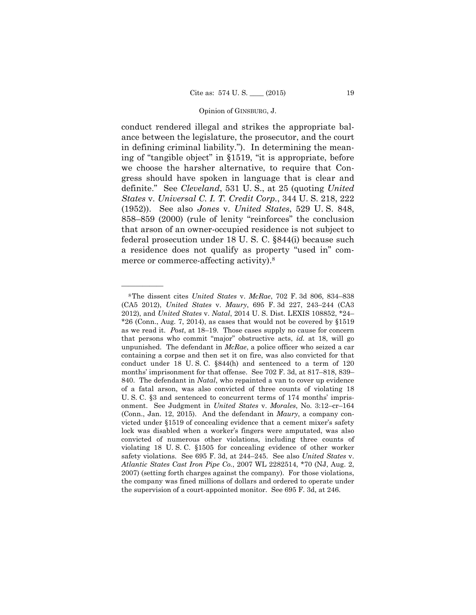conduct rendered illegal and strikes the appropriate balance between the legislature, the prosecutor, and the court in defining criminal liability."). In determining the meaning of "tangible object" in §1519, "it is appropriate, before we choose the harsher alternative, to require that Congress should have spoken in language that is clear and definite." See *Cleveland*, 531 U. S., at 25 (quoting *United States* v. *Universal C. I. T. Credit Corp.*, 344 U. S. 218, 222 (1952)). See also *Jones* v. *United States*, 529 U. S. 848, 858–859 (2000) (rule of lenity "reinforces" the conclusion that arson of an owner-occupied residence is not subject to federal prosecution under 18 U. S. C. §844(i) because such a residence does not qualify as property "used in" commerce or commerce-affecting activity).<sup>8</sup>

 lock was disabled when a worker's fingers were amputated, was also 8The dissent cites *United States* v. *McRae*, 702 F. 3d 806, 834–838 (CA5 2012), *United States* v. *Maury*, 695 F. 3d 227, 243–244 (CA3 2012), and *United States* v. *Natal*, 2014 U. S. Dist. LEXIS 108852, \*24–  $*26$  (Conn., Aug. 7, 2014), as cases that would not be covered by  $§1519$ as we read it. *Post*, at 18–19. Those cases supply no cause for concern that persons who commit "major" obstructive acts, *id.* at 18, will go unpunished. The defendant in *McRae*, a police officer who seized a car containing a corpse and then set it on fire, was also convicted for that conduct under 18 U. S. C. §844(h) and sentenced to a term of 120 months' imprisonment for that offense. See 702 F. 3d, at 817–818, 839– 840. The defendant in *Natal*, who repainted a van to cover up evidence of a fatal arson, was also convicted of three counts of violating 18 U. S. C. §3 and sentenced to concurrent terms of 174 months' imprisonment. See Judgment in *United States* v. *Morales*, No. 3:12–cr–164 (Conn., Jan. 12, 2015). And the defendant in *Maury*, a company convicted under §1519 of concealing evidence that a cement mixer's safety convicted of numerous other violations, including three counts of violating 18 U. S. C. §1505 for concealing evidence of other worker safety violations. See 695 F. 3d, at 244–245. See also *United States* v. *Atlantic States Cast Iron Pipe Co.*, 2007 WL 2282514, \*70 (NJ, Aug. 2, 2007) (setting forth charges against the company). For those violations, the company was fined millions of dollars and ordered to operate under the supervision of a court-appointed monitor. See 695 F. 3d, at 246.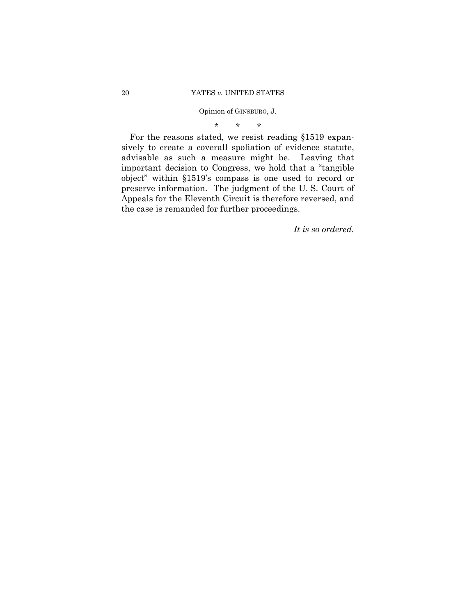\* \* \*

For the reasons stated, we resist reading §1519 expansively to create a coverall spoliation of evidence statute, advisable as such a measure might be. Leaving that important decision to Congress, we hold that a "tangible object" within §1519's compass is one used to record or preserve information. The judgment of the U. S. Court of Appeals for the Eleventh Circuit is therefore reversed, and the case is remanded for further proceedings.

*It is so ordered.*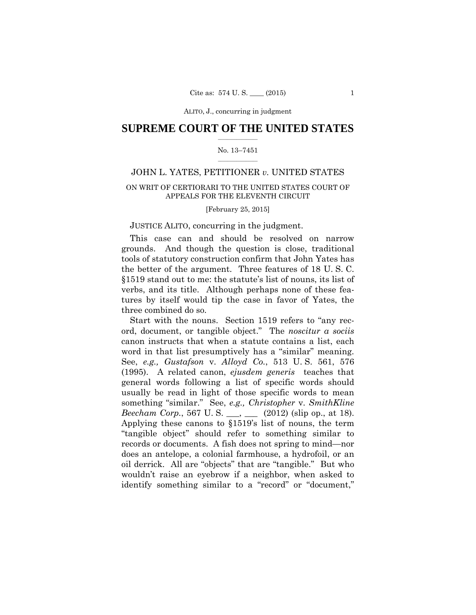### $\frac{1}{2}$  ,  $\frac{1}{2}$  ,  $\frac{1}{2}$  ,  $\frac{1}{2}$  ,  $\frac{1}{2}$  ,  $\frac{1}{2}$  ,  $\frac{1}{2}$ **SUPREME COURT OF THE UNITED STATES**

### $\frac{1}{2}$  ,  $\frac{1}{2}$  ,  $\frac{1}{2}$  ,  $\frac{1}{2}$  ,  $\frac{1}{2}$  ,  $\frac{1}{2}$ No. 13–7451

## JOHN L. YATES, PETITIONER *v.* UNITED STATES

### ON WRIT OF CERTIORARI TO THE UNITED STATES COURT OF APPEALS FOR THE ELEVENTH CIRCUIT

[February 25, 2015]

### JUSTICE ALITO, concurring in the judgment.

This case can and should be resolved on narrow grounds. And though the question is close, traditional tools of statutory construction confirm that John Yates has the better of the argument. Three features of 18 U. S. C. §1519 stand out to me: the statute's list of nouns, its list of verbs, and its title. Although perhaps none of these features by itself would tip the case in favor of Yates, the three combined do so.

 word in that list presumptively has a "similar" meaning. Start with the nouns. Section 1519 refers to "any record, document, or tangible object." The *noscitur a sociis*  canon instructs that when a statute contains a list, each See, *e.g., Gustafson* v. *Alloyd Co.*, 513 U. S. 561, 576 (1995). A related canon, *ejusdem generis* teaches that general words following a list of specific words should usually be read in light of those specific words to mean something "similar." See, *e.g., Christopher* v. *SmithKline Beecham Corp.*, 567 U.S. \_\_, \_\_\_ (2012) (slip op., at 18). Applying these canons to §1519's list of nouns, the term "tangible object" should refer to something similar to records or documents. A fish does not spring to mind—nor does an antelope, a colonial farmhouse, a hydrofoil, or an oil derrick. All are "objects" that are "tangible." But who wouldn't raise an eyebrow if a neighbor, when asked to identify something similar to a "record" or "document,"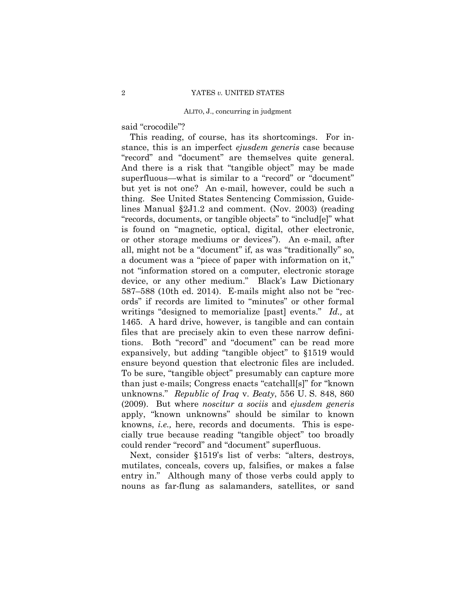said "crocodile"?

This reading, of course, has its shortcomings. For instance, this is an imperfect *ejusdem generis* case because "record" and "document" are themselves quite general. And there is a risk that "tangible object" may be made superfluous—what is similar to a "record" or "document" but yet is not one? An e-mail, however, could be such a thing. See United States Sentencing Commission, Guidelines Manual §2J1.2 and comment. (Nov. 2003) (reading "records, documents, or tangible objects" to "includ[e]" what is found on "magnetic, optical, digital, other electronic, or other storage mediums or devices"). An e-mail, after all, might not be a "document" if, as was "traditionally" so, a document was a "piece of paper with information on it," not "information stored on a computer, electronic storage device, or any other medium." Black's Law Dictionary 587–588 (10th ed. 2014). E-mails might also not be "records" if records are limited to "minutes" or other formal writings "designed to memorialize [past] events." *Id.,* at 1465. A hard drive, however, is tangible and can contain files that are precisely akin to even these narrow definitions. Both "record" and "document" can be read more expansively, but adding "tangible object" to §1519 would ensure beyond question that electronic files are included. To be sure, "tangible object" presumably can capture more than just e-mails; Congress enacts "catchall[s]" for "known unknowns." *Republic of Iraq* v. *Beaty*, 556 U. S. 848, 860 (2009). But where *noscitur a sociis* and *ejusdem generis* apply, "known unknowns" should be similar to known knowns, *i.e.,* here, records and documents. This is especially true because reading "tangible object" too broadly could render "record" and "document" superfluous.

Next, consider §1519's list of verbs: "alters, destroys, mutilates, conceals, covers up, falsifies, or makes a false entry in." Although many of those verbs could apply to nouns as far-flung as salamanders, satellites, or sand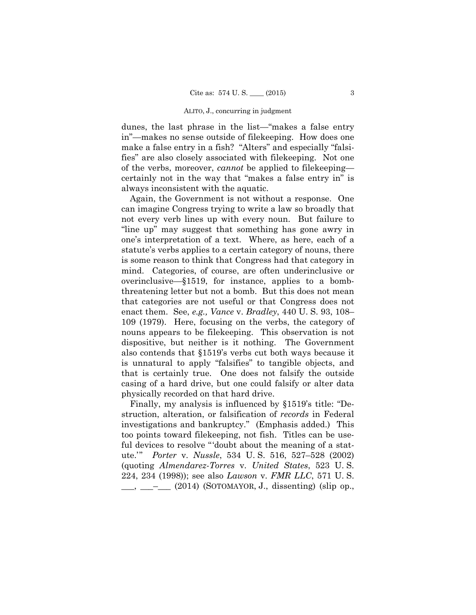dunes, the last phrase in the list—"makes a false entry in"—makes no sense outside of filekeeping. How does one make a false entry in a fish? "Alters" and especially "falsifies" are also closely associated with filekeeping. Not one of the verbs, moreover, *cannot* be applied to filekeeping certainly not in the way that "makes a false entry in" is always inconsistent with the aquatic.

Again, the Government is not without a response. One can imagine Congress trying to write a law so broadly that not every verb lines up with every noun. But failure to "line up" may suggest that something has gone awry in one's interpretation of a text. Where, as here, each of a statute's verbs applies to a certain category of nouns, there is some reason to think that Congress had that category in mind. Categories, of course, are often underinclusive or overinclusive—§1519, for instance, applies to a bombthreatening letter but not a bomb. But this does not mean that categories are not useful or that Congress does not enact them. See, *e.g., Vance* v. *Bradley*, 440 U. S. 93, 108– 109 (1979). Here, focusing on the verbs, the category of nouns appears to be filekeeping. This observation is not dispositive, but neither is it nothing. The Government also contends that §1519's verbs cut both ways because it is unnatural to apply "falsifies" to tangible objects, and that is certainly true. One does not falsify the outside casing of a hard drive, but one could falsify or alter data physically recorded on that hard drive.

Finally, my analysis is influenced by §1519's title: "Destruction, alteration, or falsification of *records* in Federal investigations and bankruptcy." (Emphasis added.) This too points toward filekeeping, not fish. Titles can be useful devices to resolve "'doubt about the meaning of a statute.'" *Porter* v. *Nussle*, 534 U. S. 516, 527–528 (2002) (quoting *Almendarez-Torres* v. *United States*, 523 U. S. 224, 234 (1998)); see also *Lawson* v. *FMR LLC*, 571 U. S.  $\frac{1}{\sqrt{2}}$ ,  $\frac{1}{\sqrt{2}}$  (2014) (SOTOMAYOR, J., dissenting) (slip op.,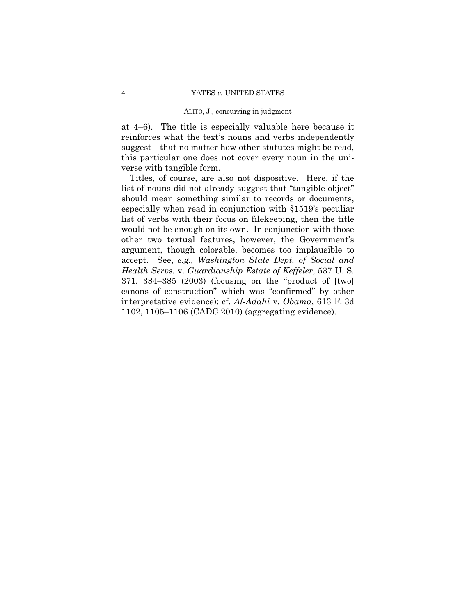at 4–6). The title is especially valuable here because it reinforces what the text's nouns and verbs independently suggest—that no matter how other statutes might be read, this particular one does not cover every noun in the universe with tangible form.

Titles, of course, are also not dispositive. Here, if the list of nouns did not already suggest that "tangible object" should mean something similar to records or documents, especially when read in conjunction with §1519's peculiar list of verbs with their focus on filekeeping, then the title would not be enough on its own. In conjunction with those other two textual features, however, the Government's argument, though colorable, becomes too implausible to accept. See, *e.g., Washington State Dept. of Social and Health Servs.* v. *Guardianship Estate of Keffeler*, 537 U. S. 371, 384–385 (2003) (focusing on the "product of [two] canons of construction" which was "confirmed" by other interpretative evidence); cf. *Al-Adahi* v. *Obama*, 613 F. 3d 1102, 1105–1106 (CADC 2010) (aggregating evidence).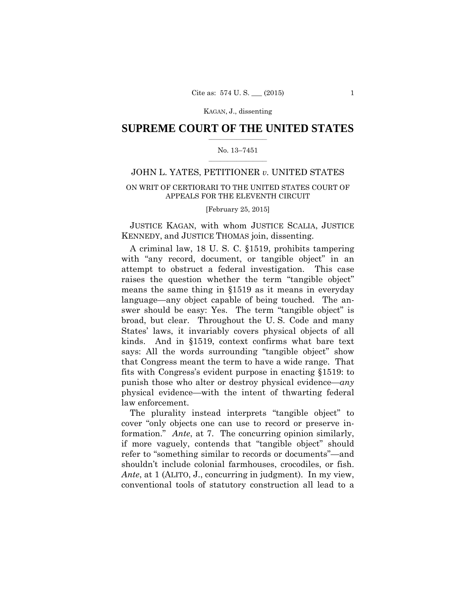### \_\_\_\_\_\_\_\_\_\_\_\_\_\_\_\_\_\_\_\_\_\_\_\_\_ **SUPREME COURT OF THE UNITED STATES**

### $\frac{1}{2}$  ,  $\frac{1}{2}$  ,  $\frac{1}{2}$  ,  $\frac{1}{2}$  ,  $\frac{1}{2}$  ,  $\frac{1}{2}$  ,  $\frac{1}{2}$  ,  $\frac{1}{2}$  ,  $\frac{1}{2}$  ,  $\frac{1}{2}$  ,  $\frac{1}{2}$  ,  $\frac{1}{2}$  ,  $\frac{1}{2}$  ,  $\frac{1}{2}$  ,  $\frac{1}{2}$  ,  $\frac{1}{2}$  ,  $\frac{1}{2}$  ,  $\frac{1}{2}$  ,  $\frac{1$ No. 13–7451

## JOHN L. YATES, PETITIONER *v.* UNITED STATES

### ON WRIT OF CERTIORARI TO THE UNITED STATES COURT OF APPEALS FOR THE ELEVENTH CIRCUIT

[February 25, 2015]

 JUSTICE KAGAN, with whom JUSTICE SCALIA, JUSTICE KENNEDY, and JUSTICE THOMAS join, dissenting.

A criminal law, 18 U. S. C. §1519, prohibits tampering with "any record, document, or tangible object" in an attempt to obstruct a federal investigation. This case raises the question whether the term "tangible object" means the same thing in §1519 as it means in everyday language—any object capable of being touched. The answer should be easy: Yes. The term "tangible object" is broad, but clear. Throughout the U. S. Code and many States' laws, it invariably covers physical objects of all kinds. And in §1519, context confirms what bare text says: All the words surrounding "tangible object" show that Congress meant the term to have a wide range. That fits with Congress's evident purpose in enacting §1519: to punish those who alter or destroy physical evidence—*any* physical evidence—with the intent of thwarting federal law enforcement.

The plurality instead interprets "tangible object" to cover "only objects one can use to record or preserve information." *Ante*, at 7. The concurring opinion similarly, if more vaguely, contends that "tangible object" should refer to "something similar to records or documents"—and shouldn't include colonial farmhouses, crocodiles, or fish. *Ante*, at 1 (ALITO, J., concurring in judgment). In my view, conventional tools of statutory construction all lead to a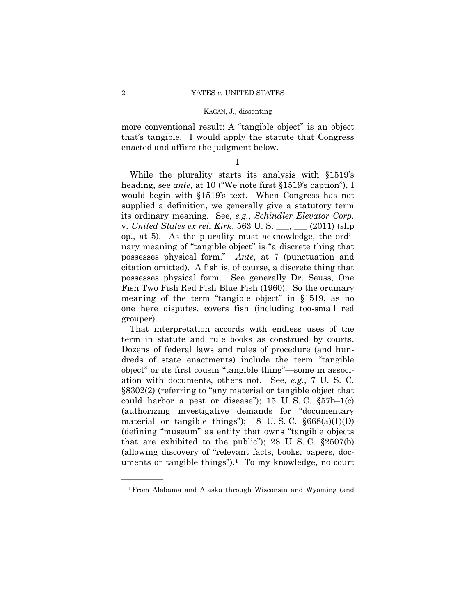more conventional result: A "tangible object" is an object that's tangible. I would apply the statute that Congress enacted and affirm the judgment below.

I

While the plurality starts its analysis with §1519's heading, see *ante*, at 10 ("We note first §1519's caption"), I would begin with §1519's text. When Congress has not supplied a definition, we generally give a statutory term its ordinary meaning. See, *e.g.*, *Schindler Elevator Corp.*  v. *United States ex rel. Kirk*, 563 U. S. \_\_\_, \_\_\_ (2011) (slip op., at 5). As the plurality must acknowledge, the ordinary meaning of "tangible object" is "a discrete thing that possesses physical form." *Ante*, at 7 (punctuation and citation omitted). A fish is, of course, a discrete thing that possesses physical form. See generally Dr. Seuss, One Fish Two Fish Red Fish Blue Fish (1960). So the ordinary meaning of the term "tangible object" in §1519, as no one here disputes, covers fish (including too-small red grouper).

That interpretation accords with endless uses of the term in statute and rule books as construed by courts. Dozens of federal laws and rules of procedure (and hundreds of state enactments) include the term "tangible object" or its first cousin "tangible thing"—some in association with documents, others not. See, *e.g.*, 7 U. S. C. §8302(2) (referring to "any material or tangible object that could harbor a pest or disease"); 15 U.S.C.  $\S 57b-1(c)$ (authorizing investigative demands for "documentary material or tangible things"); 18 U.S.C.  $\S 668(a)(1)(D)$ (defining "museum" as entity that owns "tangible objects that are exhibited to the public"); 28 U.S.C.  $\S 2507(b)$ (allowing discovery of "relevant facts, books, papers, documents or tangible things").<sup>1</sup> To my knowledge, no court

<sup>1</sup>From Alabama and Alaska through Wisconsin and Wyoming (and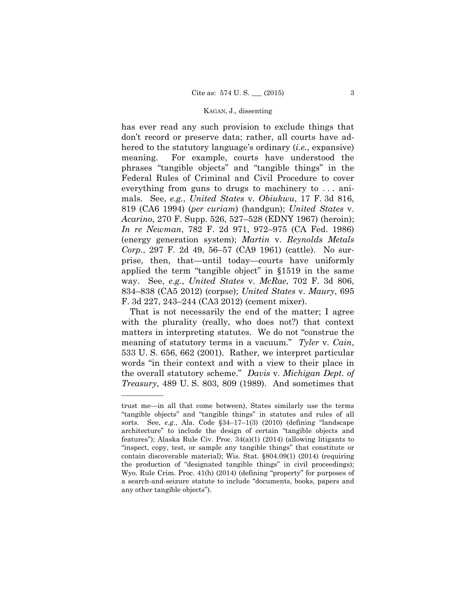has ever read any such provision to exclude things that don't record or preserve data; rather, all courts have adhered to the statutory language's ordinary (*i.e.*, expansive) meaning. For example, courts have understood the phrases "tangible objects" and "tangible things" in the Federal Rules of Criminal and Civil Procedure to cover everything from guns to drugs to machinery to . . . animals. See, *e.g.*, *United States* v. *Obiukwu*, 17 F. 3d 816, 819 (CA6 1994) (*per curiam*) (handgun); *United States* v. *Acarino*, 270 F. Supp. 526, 527–528 (EDNY 1967) (heroin); *In re Newman*, 782 F. 2d 971, 972–975 (CA Fed. 1986) (energy generation system); *Martin* v. *Reynolds Metals Corp.*, 297 F. 2d 49, 56–57 (CA9 1961) (cattle). No surprise, then, that—until today—courts have uniformly applied the term "tangible object" in §1519 in the same way. See, *e.g.*, *United States* v. *McRae*, 702 F. 3d 806, 834–838 (CA5 2012) (corpse); *United States* v. *Maury*, 695 F. 3d 227, 243–244 (CA3 2012) (cement mixer).

That is not necessarily the end of the matter; I agree with the plurality (really, who does not?) that context matters in interpreting statutes. We do not "construe the meaning of statutory terms in a vacuum." *Tyler* v. *Cain*, 533 U. S. 656, 662 (2001). Rather, we interpret particular words "in their context and with a view to their place in the overall statutory scheme." *Davis* v. *Michigan Dept. of Treasury*, 489 U. S. 803, 809 (1989). And sometimes that

trust me—in all that come between), States similarly use the terms "tangible objects" and "tangible things" in statutes and rules of all sorts. See, *e.g.*, Ala. Code §34–17–1(3) (2010) (defining "landscape architecture" to include the design of certain "tangible objects and features"); Alaska Rule Civ. Proc. 34(a)(1) (2014) (allowing litigants to "inspect, copy, test, or sample any tangible things" that constitute or contain discoverable material); Wis. Stat. §804.09(1) (2014) (requiring the production of "designated tangible things" in civil proceedings); Wyo. Rule Crim. Proc. 41(h) (2014) (defining "property" for purposes of a search-and-seizure statute to include "documents, books, papers and any other tangible objects").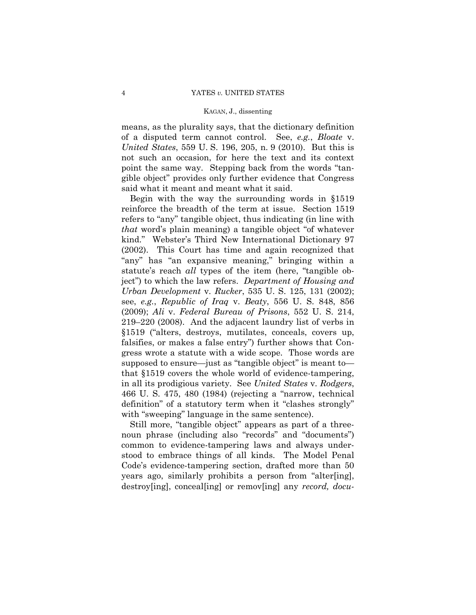means, as the plurality says, that the dictionary definition of a disputed term cannot control. See, *e.g.*, *Bloate* v. *United States*, 559 U. S. 196, 205, n. 9 (2010). But this is not such an occasion, for here the text and its context point the same way. Stepping back from the words "tangible object" provides only further evidence that Congress said what it meant and meant what it said.

Begin with the way the surrounding words in §1519 reinforce the breadth of the term at issue. Section 1519 refers to "any" tangible object, thus indicating (in line with *that* word's plain meaning) a tangible object "of whatever kind." Webster's Third New International Dictionary 97 (2002). This Court has time and again recognized that "any" has "an expansive meaning," bringing within a statute's reach *all* types of the item (here, "tangible object") to which the law refers. *Department of Housing and Urban Development* v. *Rucker*, 535 U. S. 125, 131 (2002); see, *e.g.*, *Republic of Iraq* v. *Beaty*, 556 U. S. 848, 856 (2009); *Ali* v. *Federal Bureau of Prisons*, 552 U. S. 214, 219–220 (2008). And the adjacent laundry list of verbs in §1519 ("alters, destroys, mutilates, conceals, covers up, falsifies, or makes a false entry") further shows that Congress wrote a statute with a wide scope. Those words are supposed to ensure—just as "tangible object" is meant to that §1519 covers the whole world of evidence-tampering, in all its prodigious variety. See *United States* v. *Rodgers*, 466 U. S. 475, 480 (1984) (rejecting a "narrow, technical definition" of a statutory term when it "clashes strongly" with "sweeping" language in the same sentence).

Still more, "tangible object" appears as part of a threenoun phrase (including also "records" and "documents") common to evidence-tampering laws and always understood to embrace things of all kinds. The Model Penal Code's evidence-tampering section, drafted more than 50 years ago, similarly prohibits a person from "alter[ing], destroy[ing], conceal[ing] or remov[ing] any *record, docu-*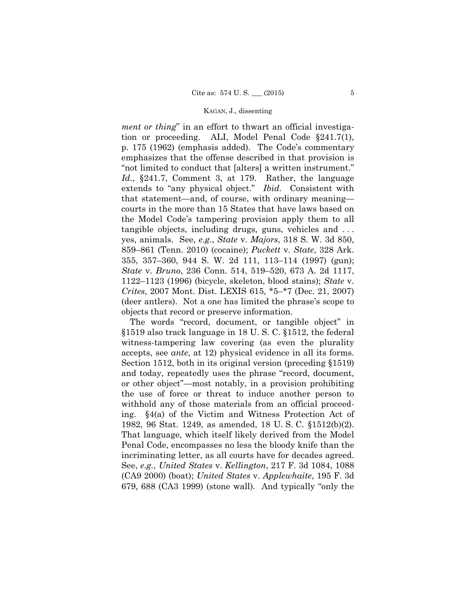*ment or thing*" in an effort to thwart an official investigation or proceeding. ALI, Model Penal Code §241.7(1), p. 175 (1962) (emphasis added). The Code's commentary emphasizes that the offense described in that provision is "not limited to conduct that [alters] a written instrument." *Id.*, §241.7, Comment 3, at 179. Rather, the language extends to "any physical object." *Ibid.* Consistent with that statement—and, of course, with ordinary meaning courts in the more than 15 States that have laws based on the Model Code's tampering provision apply them to all tangible objects, including drugs, guns, vehicles and . . . yes, animals. See, *e.g.*, *State* v. *Majors*, 318 S. W. 3d 850, 859–861 (Tenn. 2010) (cocaine); *Puckett* v. *State*, 328 Ark. 355, 357–360, 944 S. W. 2d 111, 113–114 (1997) (gun); *State* v. *Bruno*, 236 Conn. 514, 519–520, 673 A. 2d 1117, 1122–1123 (1996) (bicycle, skeleton, blood stains); *State* v. *Crites*, 2007 Mont. Dist. LEXIS 615, \*5–\*7 (Dec. 21, 2007) (deer antlers). Not a one has limited the phrase's scope to objects that record or preserve information.

The words "record, document, or tangible object" in §1519 also track language in 18 U. S. C. §1512, the federal witness-tampering law covering (as even the plurality accepts, see *ante*, at 12) physical evidence in all its forms. Section 1512, both in its original version (preceding §1519) and today, repeatedly uses the phrase "record, document, or other object"—most notably, in a provision prohibiting the use of force or threat to induce another person to withhold any of those materials from an official proceeding. §4(a) of the Victim and Witness Protection Act of 1982, 96 Stat. 1249, as amended, 18 U. S. C. §1512(b)(2). That language, which itself likely derived from the Model Penal Code, encompasses no less the bloody knife than the incriminating letter, as all courts have for decades agreed. See, *e.g.*, *United States* v. *Kellington*, 217 F. 3d 1084, 1088 (CA9 2000) (boat); *United States* v. *Applewhaite*, 195 F. 3d 679, 688 (CA3 1999) (stone wall). And typically "only the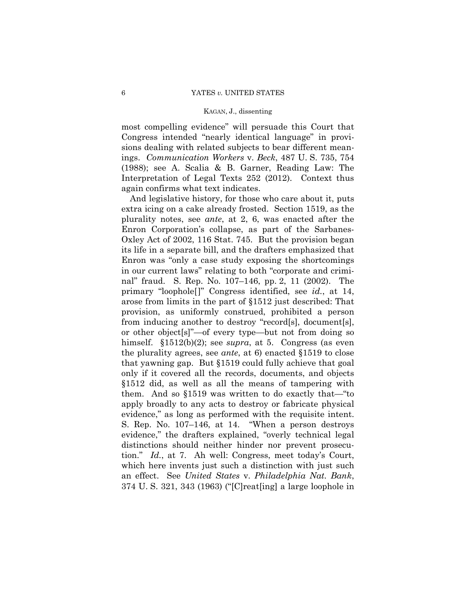most compelling evidence" will persuade this Court that Congress intended "nearly identical language" in provisions dealing with related subjects to bear different meanings. *Communication Workers* v. *Beck*, 487 U. S. 735, 754 (1988); see A. Scalia & B. Garner, Reading Law: The Interpretation of Legal Texts 252 (2012). Context thus again confirms what text indicates.

 that yawning gap. But §1519 could fully achieve that goal And legislative history, for those who care about it, puts extra icing on a cake already frosted. Section 1519, as the plurality notes, see *ante*, at 2, 6, was enacted after the Enron Corporation's collapse, as part of the Sarbanes-Oxley Act of 2002, 116 Stat. 745. But the provision began its life in a separate bill, and the drafters emphasized that Enron was "only a case study exposing the shortcomings in our current laws" relating to both "corporate and criminal" fraud. S. Rep. No. 107–146, pp. 2, 11 (2002). The primary "loophole[]" Congress identified, see *id.*, at 14, arose from limits in the part of §1512 just described: That provision, as uniformly construed, prohibited a person from inducing another to destroy "record[s], document[s], or other object[s]"—of every type—but not from doing so himself. §1512(b)(2); see *supra*, at 5. Congress (as even the plurality agrees, see *ante*, at 6) enacted §1519 to close only if it covered all the records, documents, and objects §1512 did, as well as all the means of tampering with them. And so §1519 was written to do exactly that—"to apply broadly to any acts to destroy or fabricate physical evidence," as long as performed with the requisite intent. S. Rep. No. 107–146, at 14. "When a person destroys evidence," the drafters explained, "overly technical legal distinctions should neither hinder nor prevent prosecution." *Id.*, at 7. Ah well: Congress, meet today's Court, which here invents just such a distinction with just such an effect. See *United States* v. *Philadelphia Nat. Bank*, 374 U. S. 321, 343 (1963) ("[C]reat[ing] a large loophole in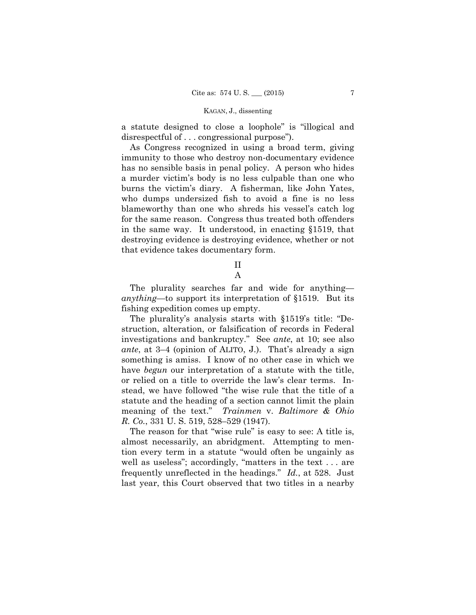a statute designed to close a loophole" is "illogical and disrespectful of . . . congressional purpose").

As Congress recognized in using a broad term, giving immunity to those who destroy non-documentary evidence has no sensible basis in penal policy. A person who hides a murder victim's body is no less culpable than one who burns the victim's diary. A fisherman, like John Yates, who dumps undersized fish to avoid a fine is no less blameworthy than one who shreds his vessel's catch log for the same reason. Congress thus treated both offenders in the same way. It understood, in enacting §1519, that destroying evidence is destroying evidence, whether or not that evidence takes documentary form.

II

### A

The plurality searches far and wide for anything *anything*—to support its interpretation of §1519. But its fishing expedition comes up empty.

 investigations and bankruptcy." See *ante*, at 10; see also The plurality's analysis starts with §1519's title: "Destruction, alteration, or falsification of records in Federal *ante*, at 3–4 (opinion of ALITO, J.). That's already a sign something is amiss. I know of no other case in which we have *begun* our interpretation of a statute with the title, or relied on a title to override the law's clear terms. Instead, we have followed "the wise rule that the title of a statute and the heading of a section cannot limit the plain meaning of the text." *Trainmen* v. *Baltimore & Ohio R. Co.*, 331 U. S. 519, 528–529 (1947).

The reason for that "wise rule" is easy to see: A title is, almost necessarily, an abridgment. Attempting to mention every term in a statute "would often be ungainly as well as useless"; accordingly, "matters in the text . . . are frequently unreflected in the headings." *Id.*, at 528. Just last year, this Court observed that two titles in a nearby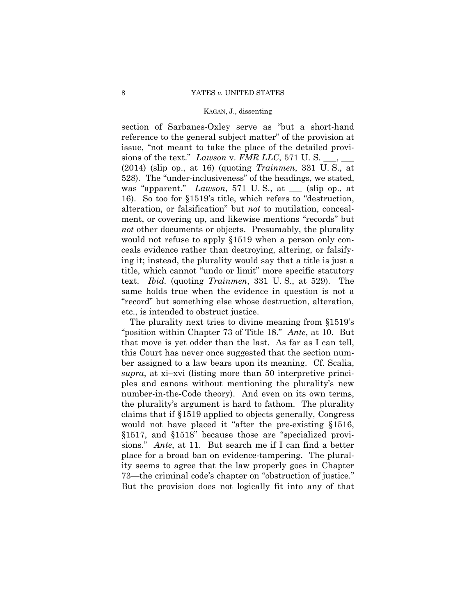16). So too for §1519's title, which refers to "destruction, section of Sarbanes-Oxley serve as "but a short-hand reference to the general subject matter" of the provision at issue, "not meant to take the place of the detailed provisions of the text." *Lawson* v. *FMR LLC*, 571 U.S. (2014) (slip op., at 16) (quoting *Trainmen*, 331 U. S., at 528). The "under-inclusiveness" of the headings, we stated, was "apparent." *Lawson*, 571 U. S., at \_\_\_ (slip op., at alteration, or falsification" but *not* to mutilation, concealment, or covering up, and likewise mentions "records" but *not* other documents or objects. Presumably, the plurality would not refuse to apply §1519 when a person only conceals evidence rather than destroying, altering, or falsifying it; instead, the plurality would say that a title is just a title, which cannot "undo or limit" more specific statutory text. *Ibid.* (quoting *Trainmen*, 331 U. S., at 529). The same holds true when the evidence in question is not a "record" but something else whose destruction, alteration, etc., is intended to obstruct justice.

sions." *Ante*, at 11. But search me if I can find a better The plurality next tries to divine meaning from §1519's "position within Chapter 73 of Title 18." *Ante*, at 10. But that move is yet odder than the last. As far as I can tell, this Court has never once suggested that the section number assigned to a law bears upon its meaning. Cf. Scalia, *supra*, at xi–xvi (listing more than 50 interpretive principles and canons without mentioning the plurality's new number-in-the-Code theory). And even on its own terms, the plurality's argument is hard to fathom. The plurality claims that if §1519 applied to objects generally, Congress would not have placed it "after the pre-existing §1516, §1517, and §1518" because those are "specialized proviplace for a broad ban on evidence-tampering. The plurality seems to agree that the law properly goes in Chapter 73—the criminal code's chapter on "obstruction of justice." But the provision does not logically fit into any of that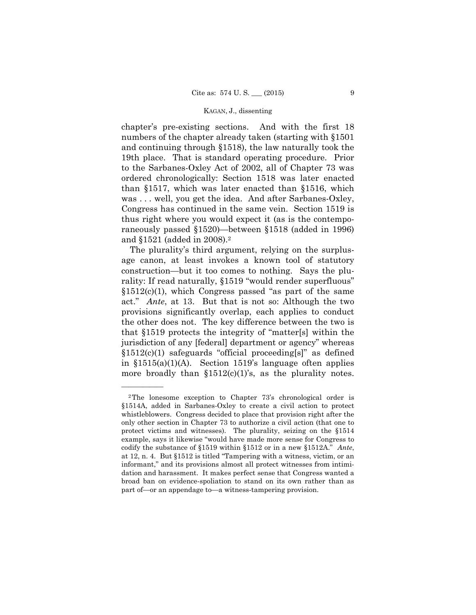chapter's pre-existing sections. And with the first 18 numbers of the chapter already taken (starting with §1501 and continuing through §1518), the law naturally took the 19th place. That is standard operating procedure. Prior to the Sarbanes-Oxley Act of 2002, all of Chapter 73 was ordered chronologically: Section 1518 was later enacted than §1517, which was later enacted than §1516, which was . . . well, you get the idea. And after Sarbanes-Oxley, Congress has continued in the same vein. Section 1519 is thus right where you would expect it (as is the contemporaneously passed §1520)—between §1518 (added in 1996) and §1521 (added in 2008).2

 jurisdiction of any [federal] department or agency" whereas The plurality's third argument, relying on the surplusage canon, at least invokes a known tool of statutory construction—but it too comes to nothing. Says the plurality: If read naturally, §1519 "would render superfluous" §1512(c)(1), which Congress passed "as part of the same act." *Ante*, at 13. But that is not so: Although the two provisions significantly overlap, each applies to conduct the other does not. The key difference between the two is that §1519 protects the integrity of "matter[s] within the §1512(c)(1) safeguards "official proceeding[s]" as defined in §1515(a)(1)(A). Section 1519's language often applies more broadly than  $$1512(c)(1)$ 's, as the plurality notes.

<sup>2</sup>The lonesome exception to Chapter 73's chronological order is §1514A, added in Sarbanes-Oxley to create a civil action to protect whistleblowers. Congress decided to place that provision right after the only other section in Chapter 73 to authorize a civil action (that one to protect victims and witnesses). The plurality, seizing on the §1514 example, says it likewise "would have made more sense for Congress to codify the substance of §1519 within §1512 or in a new §1512A." *Ante*, at 12, n. 4. But §1512 is titled "Tampering with a witness, victim, or an informant," and its provisions almost all protect witnesses from intimidation and harassment. It makes perfect sense that Congress wanted a broad ban on evidence-spoliation to stand on its own rather than as part of—or an appendage to—a witness-tampering provision.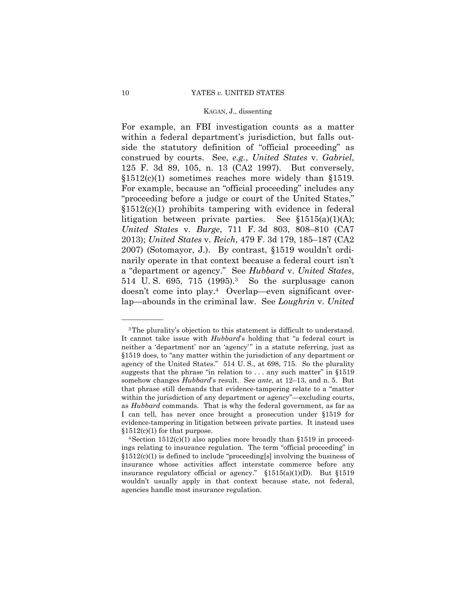$$1512(c)(1)$  sometimes reaches more widely than  $$1519$ . For example, an FBI investigation counts as a matter within a federal department's jurisdiction, but falls outside the statutory definition of "official proceeding" as construed by courts. See, *e.g.*, *United States* v. *Gabriel*, 125 F. 3d 89, 105, n. 13 (CA2 1997). But conversely, For example, because an "official proceeding" includes any "proceeding before a judge or court of the United States,"  $$1512(c)(1)$  prohibits tampering with evidence in federal litigation between private parties. See §1515(a)(1)(A); *United States* v. *Burge*, 711 F. 3d 803, 808–810 (CA7 2013); *United States* v. *Reich*, 479 F. 3d 179, 185–187 (CA2 2007) (Sotomayor, J.). By contrast, §1519 wouldn't ordinarily operate in that context because a federal court isn't a "department or agency." See *Hubbard* v. *United States*, 514 U.S. 695, 715 (1995).<sup>3</sup> So the surplusage canon doesn't come into play.4 Overlap—even significant overlap—abounds in the criminal law. See *Loughrin* v. *United* 

 somehow changes *Hubbard*'s result. See *ante*, at 12–13, and n. 5. But 3The plurality's objection to this statement is difficult to understand. It cannot take issue with *Hubbard*'s holding that "a federal court is neither a 'department' nor an 'agency' " in a statute referring, just as §1519 does, to "any matter within the jurisdiction of any department or agency of the United States." 514 U. S., at 698, 715. So the plurality suggests that the phrase "in relation to . . . any such matter" in §1519 that phrase still demands that evidence-tampering relate to a "matter within the jurisdiction of any department or agency"—excluding courts, as *Hubbard* commands. That is why the federal government, as far as I can tell, has never once brought a prosecution under §1519 for evidence-tampering in litigation between private parties. It instead uses

 $$1512(c)(1)$  for that purpose.<br><sup>4</sup>Section 1512(c)(1) also applies more broadly than §1519 in proceedings relating to insurance regulation. The term "official proceeding" in  $§1512(c)(1)$  is defined to include "proceeding[s] involving the business of insurance whose activities affect interstate commerce before any insurance regulatory official or agency."  $$1515(a)(1)(D)$ . But  $$1519$ wouldn't usually apply in that context because state, not federal, agencies handle most insurance regulation.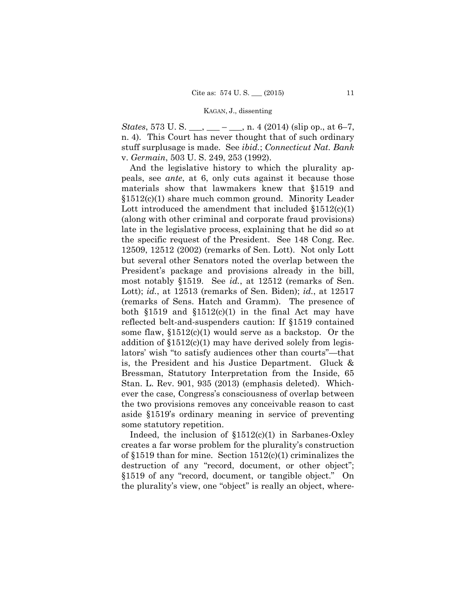*States*, 573 U. S. \_\_\_, \_\_\_ – \_\_\_, n. 4 (2014) (slip op., at 6–7, n. 4). This Court has never thought that of such ordinary stuff surplusage is made. See *ibid.*; *Connecticut Nat. Bank*  v. *Germain*, 503 U. S. 249, 253 (1992).

And the legislative history to which the plurality appeals, see *ante*, at 6, only cuts against it because those materials show that lawmakers knew that §1519 and §1512(c)(1) share much common ground. Minority Leader Lott introduced the amendment that included  $\S 1512(c)(1)$ (along with other criminal and corporate fraud provisions) late in the legislative process, explaining that he did so at the specific request of the President. See 148 Cong. Rec. 12509, 12512 (2002) (remarks of Sen. Lott). Not only Lott but several other Senators noted the overlap between the President's package and provisions already in the bill, most notably §1519. See *id.*, at 12512 (remarks of Sen. Lott); *id.*, at 12513 (remarks of Sen. Biden); *id.*, at 12517 (remarks of Sens. Hatch and Gramm). The presence of both  $$1519$  and  $$1512(c)(1)$  in the final Act may have reflected belt-and-suspenders caution: If §1519 contained some flaw, §1512(c)(1) would serve as a backstop. Or the addition of §1512(c)(1) may have derived solely from legislators' wish "to satisfy audiences other than courts"—that is, the President and his Justice Department. Gluck & Bressman, Statutory Interpretation from the Inside, 65 Stan. L. Rev. 901, 935 (2013) (emphasis deleted). Whichever the case, Congress's consciousness of overlap between the two provisions removes any conceivable reason to cast aside §1519's ordinary meaning in service of preventing some statutory repetition.

Indeed, the inclusion of  $$1512(c)(1)$  in Sarbanes-Oxley creates a far worse problem for the plurality's construction of §1519 than for mine. Section 1512(c)(1) criminalizes the destruction of any "record, document, or other object"; §1519 of any "record, document, or tangible object." On the plurality's view, one "object" is really an object, where-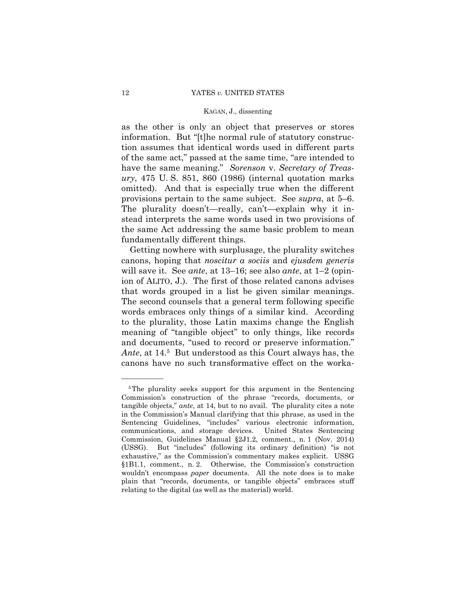provisions pertain to the same subject. See *supra*, at  $5-6$ . as the other is only an object that preserves or stores information. But "[t]he normal rule of statutory construction assumes that identical words used in different parts of the same act," passed at the same time, "are intended to have the same meaning." *Sorenson* v. *Secretary of Treasury*, 475 U. S. 851, 860 (1986) (internal quotation marks omitted). And that is especially true when the different The plurality doesn't—really, can't—explain why it instead interprets the same words used in two provisions of the same Act addressing the same basic problem to mean fundamentally different things.

ion of ALITO, J.). The first of those related canons advises  *Ante*, at 14.5 But understood as this Court always has, the Getting nowhere with surplusage, the plurality switches canons, hoping that *noscitur a sociis* and *ejusdem generis*  will save it. See *ante*, at 13–16; see also *ante*, at 1–2 (opinthat words grouped in a list be given similar meanings. The second counsels that a general term following specific words embraces only things of a similar kind. According to the plurality, those Latin maxims change the English meaning of "tangible object" to only things, like records and documents, "used to record or preserve information." canons have no such transformative effect on the worka-

<sup>&</sup>lt;sup>5</sup>The plurality seeks support for this argument in the Sentencing Commission's construction of the phrase "records, documents, or tangible objects," *ante*, at 14, but to no avail. The plurality cites a note in the Commission's Manual clarifying that this phrase, as used in the Sentencing Guidelines, "includes" various electronic information, communications, and storage devices. United States Sentencing Commission, Guidelines Manual §2J1.2, comment., n. 1 (Nov. 2014) (USSG). But "includes" (following its ordinary definition) "is not exhaustive," as the Commission's commentary makes explicit. USSG §1B1.1, comment., n. 2. Otherwise, the Commission's construction wouldn't encompass *paper* documents. All the note does is to make plain that "records, documents, or tangible objects" embraces stuff relating to the digital (as well as the material) world.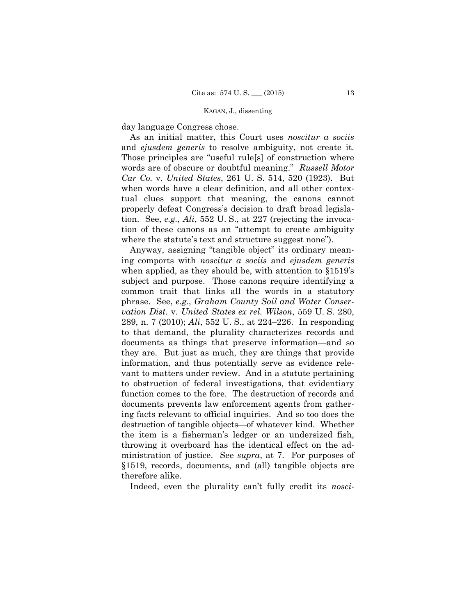day language Congress chose.

As an initial matter, this Court uses *noscitur a sociis*  and *ejusdem generis* to resolve ambiguity, not create it. Those principles are "useful rule[s] of construction where words are of obscure or doubtful meaning." *Russell Motor Car Co.* v. *United States*, 261 U. S. 514, 520 (1923). But when words have a clear definition, and all other contextual clues support that meaning, the canons cannot properly defeat Congress's decision to draft broad legislation. See, *e.g.*, *Ali*, 552 U. S., at 227 (rejecting the invocation of these canons as an "attempt to create ambiguity where the statute's text and structure suggest none").

Anyway, assigning "tangible object" its ordinary meaning comports with *noscitur a sociis* and *ejusdem generis* when applied, as they should be, with attention to §1519's subject and purpose. Those canons require identifying a common trait that links all the words in a statutory phrase. See, *e.g.*, *Graham County Soil and Water Conservation Dist.* v. *United States ex rel. Wilson*, 559 U. S. 280, 289, n. 7 (2010); *Ali*, 552 U. S., at 224–226. In responding to that demand, the plurality characterizes records and documents as things that preserve information—and so they are. But just as much, they are things that provide information, and thus potentially serve as evidence relevant to matters under review. And in a statute pertaining to obstruction of federal investigations, that evidentiary function comes to the fore. The destruction of records and documents prevents law enforcement agents from gathering facts relevant to official inquiries. And so too does the destruction of tangible objects—of whatever kind. Whether the item is a fisherman's ledger or an undersized fish, throwing it overboard has the identical effect on the administration of justice. See *supra*, at 7. For purposes of §1519, records, documents, and (all) tangible objects are therefore alike.

Indeed, even the plurality can't fully credit its *nosci-*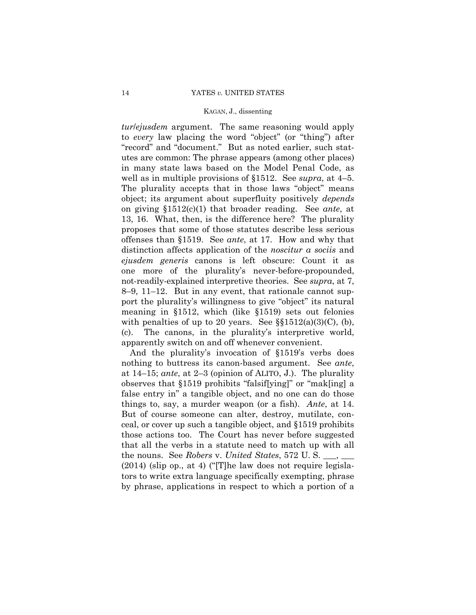(c). *tur*/*ejusdem* argument. The same reasoning would apply to *every* law placing the word "object" (or "thing") after "record" and "document." But as noted earlier, such statutes are common: The phrase appears (among other places) in many state laws based on the Model Penal Code, as well as in multiple provisions of §1512. See *supra*, at 4–5. The plurality accepts that in those laws "object" means object; its argument about superfluity positively *depends* on giving §1512(c)(1) that broader reading. See *ante*, at 13, 16. What, then, is the difference here? The plurality proposes that some of those statutes describe less serious offenses than §1519. See *ante*, at 17. How and why that distinction affects application of the *noscitur a sociis* and *ejusdem generis* canons is left obscure: Count it as one more of the plurality's never-before-propounded, not-readily-explained interpretive theories. See *supra*, at 7, 8–9, 11–12. But in any event, that rationale cannot support the plurality's willingness to give "object" its natural meaning in §1512, which (like §1519) sets out felonies with penalties of up to 20 years. See  $\S$ §1512(a)(3)(C), (b), The canons, in the plurality's interpretive world, apparently switch on and off whenever convenient.

And the plurality's invocation of §1519's verbs does nothing to buttress its canon-based argument. See *ante*, at 14–15; *ante*, at 2–3 (opinion of ALITO, J.). The plurality observes that §1519 prohibits "falsif[ying]" or "mak[ing] a false entry in" a tangible object, and no one can do those things to, say, a murder weapon (or a fish). *Ante*, at 14. But of course someone can alter, destroy, mutilate, conceal, or cover up such a tangible object, and §1519 prohibits those actions too. The Court has never before suggested that all the verbs in a statute need to match up with all the nouns. See *Robers* v. *United States*, 572 U. S. \_\_\_, \_\_\_ (2014) (slip op., at 4) ("[T]he law does not require legislators to write extra language specifically exempting, phrase by phrase, applications in respect to which a portion of a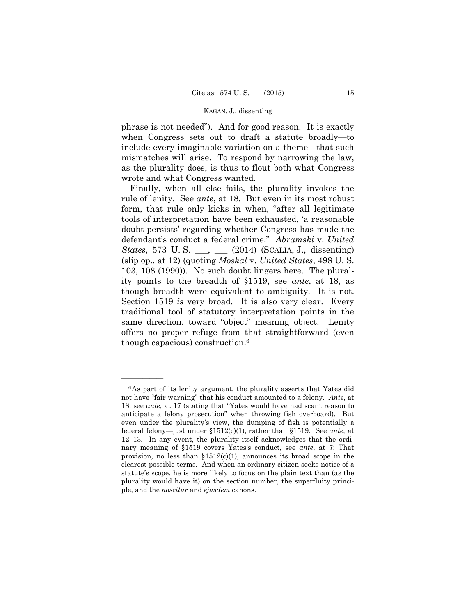phrase is not needed"). And for good reason. It is exactly when Congress sets out to draft a statute broadly—to include every imaginable variation on a theme—that such mismatches will arise. To respond by narrowing the law, as the plurality does, is thus to flout both what Congress wrote and what Congress wanted.

Finally, when all else fails, the plurality invokes the rule of lenity. See *ante*, at 18. But even in its most robust form, that rule only kicks in when, "after all legitimate tools of interpretation have been exhausted, 'a reasonable doubt persists' regarding whether Congress has made the defendant's conduct a federal crime." *Abramski* v. *United States*, 573 U. S. \_\_\_, \_\_\_ (2014) (SCALIA, J., dissenting) (slip op., at 12) (quoting *Moskal* v. *United States*, 498 U. S. 103, 108 (1990)). No such doubt lingers here. The plurality points to the breadth of §1519, see *ante*, at 18, as though breadth were equivalent to ambiguity. It is not. Section 1519 *is* very broad. It is also very clear. Every traditional tool of statutory interpretation points in the same direction, toward "object" meaning object. Lenity offers no proper refuge from that straightforward (even though capacious) construction.6

anticipate a felony prosecution" when throwing fish overboard). But <sup>6</sup>As part of its lenity argument, the plurality asserts that Yates did not have "fair warning" that his conduct amounted to a felony. *Ante*, at 18; see *ante*, at 17 (stating that "Yates would have had scant reason to even under the plurality's view, the dumping of fish is potentially a federal felony—just under §1512(c)(1), rather than §1519. See *ante*, at 12–13. In any event, the plurality itself acknowledges that the ordinary meaning of §1519 covers Yates's conduct, see *ante*, at 7: That provision, no less than  $$1512(c)(1)$ , announces its broad scope in the clearest possible terms. And when an ordinary citizen seeks notice of a statute's scope, he is more likely to focus on the plain text than (as the plurality would have it) on the section number, the superfluity principle, and the *noscitur* and *ejusdem* canons.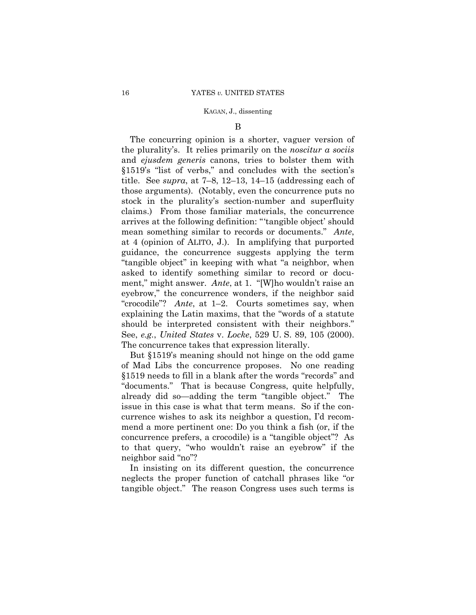### B

 "crocodile"? *Ante*, at 1–2. Courts sometimes say, when See, *e.g.*, *United States* v. *Locke*, 529 U. S. 89, 105 (2000). The concurring opinion is a shorter, vaguer version of the plurality's. It relies primarily on the *noscitur a sociis*  and *ejusdem generis* canons, tries to bolster them with §1519's "list of verbs," and concludes with the section's title. See *supra*, at 7–8, 12–13, 14–15 (addressing each of those arguments). (Notably, even the concurrence puts no stock in the plurality's section-number and superfluity claims.) From those familiar materials, the concurrence arrives at the following definition: "'tangible object' should mean something similar to records or documents." *Ante*, at 4 (opinion of ALITO, J.). In amplifying that purported guidance, the concurrence suggests applying the term "tangible object" in keeping with what "a neighbor, when asked to identify something similar to record or document," might answer. *Ante*, at 1. "[W]ho wouldn't raise an eyebrow," the concurrence wonders, if the neighbor said explaining the Latin maxims, that the "words of a statute should be interpreted consistent with their neighbors." The concurrence takes that expression literally.

But §1519's meaning should not hinge on the odd game of Mad Libs the concurrence proposes. No one reading §1519 needs to fill in a blank after the words "records" and "documents." That is because Congress, quite helpfully, already did so—adding the term "tangible object." The issue in this case is what that term means. So if the concurrence wishes to ask its neighbor a question, I'd recommend a more pertinent one: Do you think a fish (or, if the concurrence prefers, a crocodile) is a "tangible object"? As to that query, "who wouldn't raise an eyebrow" if the neighbor said "no"?

In insisting on its different question, the concurrence neglects the proper function of catchall phrases like "or tangible object." The reason Congress uses such terms is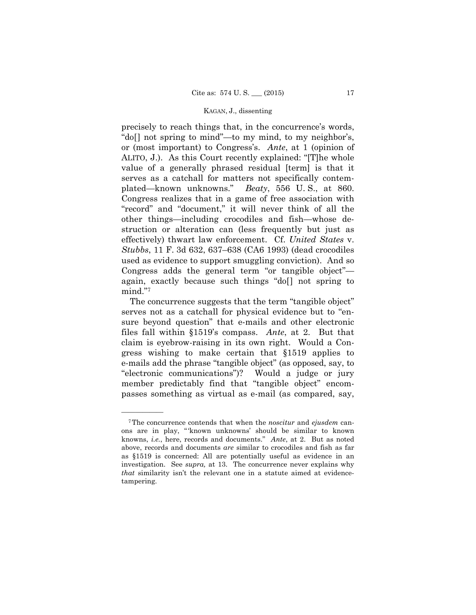used as evidence to support smuggling conviction). And so precisely to reach things that, in the concurrence's words, "do[] not spring to mind"—to my mind, to my neighbor's, or (most important) to Congress's. *Ante*, at 1 (opinion of ALITO, J.). As this Court recently explained: "[T]he whole value of a generally phrased residual [term] is that it serves as a catchall for matters not specifically contemplated—known unknowns." *Beaty*, 556 U. S., at 860. Congress realizes that in a game of free association with "record" and "document," it will never think of all the other things—including crocodiles and fish—whose destruction or alteration can (less frequently but just as effectively) thwart law enforcement. Cf. *United States* v. *Stubbs*, 11 F. 3d 632, 637–638 (CA6 1993) (dead crocodiles Congress adds the general term "or tangible object" again, exactly because such things "do[] not spring to mind."7

The concurrence suggests that the term "tangible object" serves not as a catchall for physical evidence but to "ensure beyond question" that e-mails and other electronic files fall within §1519's compass. *Ante*, at 2. But that claim is eyebrow-raising in its own right. Would a Congress wishing to make certain that §1519 applies to e-mails add the phrase "tangible object" (as opposed, say, to "electronic communications")? Would a judge or jury member predictably find that "tangible object" encompasses something as virtual as e-mail (as compared, say,

 knowns, *i.e.*, here, records and documents." *Ante*, at 2. But as noted 7The concurrence contends that when the *noscitur* and *ejusdem* canons are in play, " 'known unknowns' should be similar to known above, records and documents *are* similar to crocodiles and fish as far as §1519 is concerned: All are potentially useful as evidence in an investigation. See *supra,* at 13. The concurrence never explains why *that* similarity isn't the relevant one in a statute aimed at evidencetampering.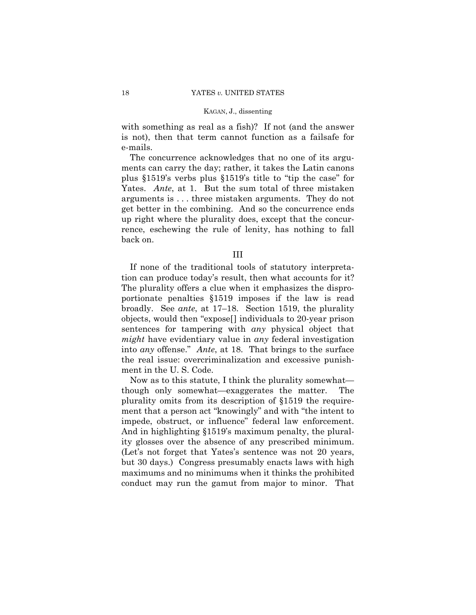with something as real as a fish)? If not (and the answer is not), then that term cannot function as a failsafe for e-mails.

The concurrence acknowledges that no one of its arguments can carry the day; rather, it takes the Latin canons plus §1519's verbs plus §1519's title to "tip the case" for Yates. *Ante*, at 1. But the sum total of three mistaken arguments is . . . three mistaken arguments. They do not get better in the combining. And so the concurrence ends up right where the plurality does, except that the concurrence, eschewing the rule of lenity, has nothing to fall back on.

III

If none of the traditional tools of statutory interpretation can produce today's result, then what accounts for it? The plurality offers a clue when it emphasizes the disproportionate penalties §1519 imposes if the law is read broadly. See *ante*, at 17–18. Section 1519, the plurality objects, would then "expose[] individuals to 20-year prison sentences for tampering with *any* physical object that *might* have evidentiary value in *any* federal investigation into *any* offense." *Ante*, at 18. That brings to the surface the real issue: overcriminalization and excessive punishment in the U. S. Code.

 impede, obstruct, or influence" federal law enforcement. Now as to this statute, I think the plurality somewhat though only somewhat—exaggerates the matter. The plurality omits from its description of §1519 the requirement that a person act "knowingly" and with "the intent to And in highlighting §1519's maximum penalty, the plurality glosses over the absence of any prescribed minimum. (Let's not forget that Yates's sentence was not 20 years, but 30 days.) Congress presumably enacts laws with high maximums and no minimums when it thinks the prohibited conduct may run the gamut from major to minor. That